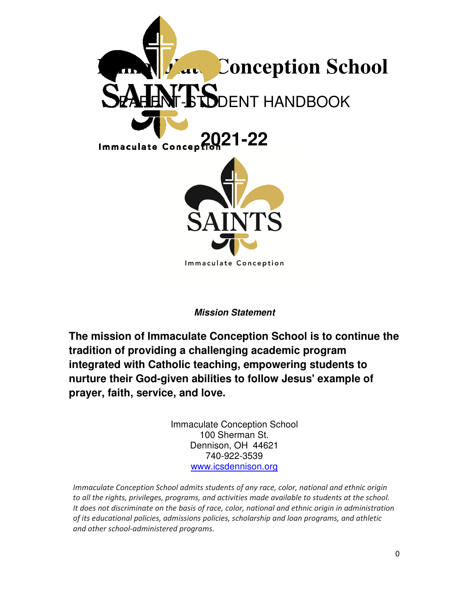

### **Mission Statement**

**The mission of Immaculate Conception School is to continue the tradition of providing a challenging academic program integrated with Catholic teaching, empowering students to nurture their God-given abilities to follow Jesus' example of prayer, faith, service, and love.** 

> Immaculate Conception School 100 Sherman St. Dennison, OH 44621 740-922-3539 www.icsdennison.org

*Immaculate Conception School admits students of any race, color, national and ethnic origin to all the rights, privileges, programs, and activities made available to students at the school. It does not discriminate on the basis of race, color, national and ethnic origin in administration of its educational policies, admissions policies, scholarship and loan programs, and athletic and other school-administered programs.*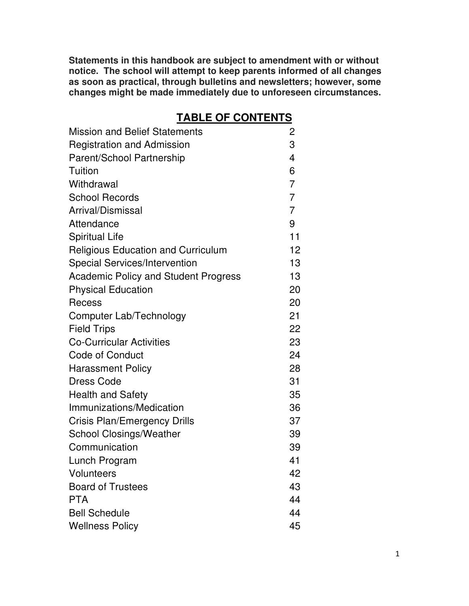**Statements in this handbook are subject to amendment with or without notice. The school will attempt to keep parents informed of all changes as soon as practical, through bulletins and newsletters; however, some changes might be made immediately due to unforeseen circumstances.**

# **TABLE OF CONTENTS**

| <b>Mission and Belief Statements</b>        | 2                        |
|---------------------------------------------|--------------------------|
| <b>Registration and Admission</b>           | 3                        |
| Parent/School Partnership                   | $\overline{\mathcal{L}}$ |
| Tuition                                     | 6                        |
| Withdrawal                                  | $\overline{7}$           |
| <b>School Records</b>                       | $\overline{7}$           |
| Arrival/Dismissal                           | $\overline{7}$           |
| Attendance                                  | 9                        |
| <b>Spiritual Life</b>                       | 11                       |
| <b>Religious Education and Curriculum</b>   | $12 \overline{ }$        |
| <b>Special Services/Intervention</b>        | 13                       |
| <b>Academic Policy and Student Progress</b> | 13                       |
| <b>Physical Education</b>                   | 20                       |
| Recess                                      | 20                       |
| Computer Lab/Technology                     | 21                       |
| <b>Field Trips</b>                          | 22                       |
| <b>Co-Curricular Activities</b>             | 23                       |
| <b>Code of Conduct</b>                      | 24                       |
| <b>Harassment Policy</b>                    | 28                       |
| <b>Dress Code</b>                           | 31                       |
| <b>Health and Safety</b>                    | 35                       |
| Immunizations/Medication                    | 36                       |
| <b>Crisis Plan/Emergency Drills</b>         | 37                       |
| <b>School Closings/Weather</b>              | 39                       |
| Communication                               | 39                       |
| Lunch Program                               | 41                       |
| <b>Volunteers</b>                           | 42                       |
| <b>Board of Trustees</b>                    | 43                       |
| <b>PTA</b>                                  | 44                       |
| <b>Bell Schedule</b>                        | 44                       |
| <b>Wellness Policy</b>                      | 45                       |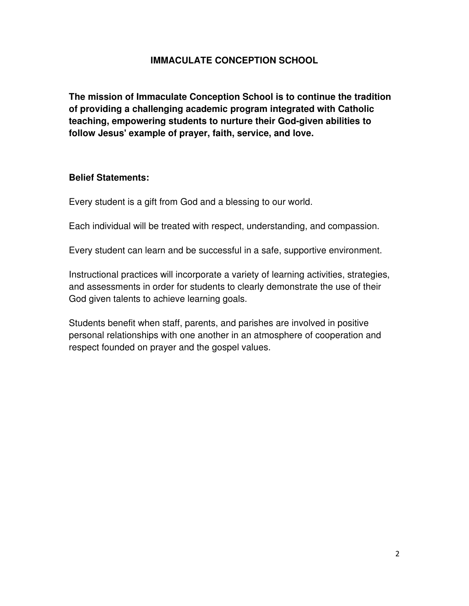### **IMMACULATE CONCEPTION SCHOOL**

**The mission of Immaculate Conception School is to continue the tradition of providing a challenging academic program integrated with Catholic teaching, empowering students to nurture their God-given abilities to follow Jesus' example of prayer, faith, service, and love.** 

#### **Belief Statements:**

Every student is a gift from God and a blessing to our world.

Each individual will be treated with respect, understanding, and compassion.

Every student can learn and be successful in a safe, supportive environment.

Instructional practices will incorporate a variety of learning activities, strategies, and assessments in order for students to clearly demonstrate the use of their God given talents to achieve learning goals.

Students benefit when staff, parents, and parishes are involved in positive personal relationships with one another in an atmosphere of cooperation and respect founded on prayer and the gospel values.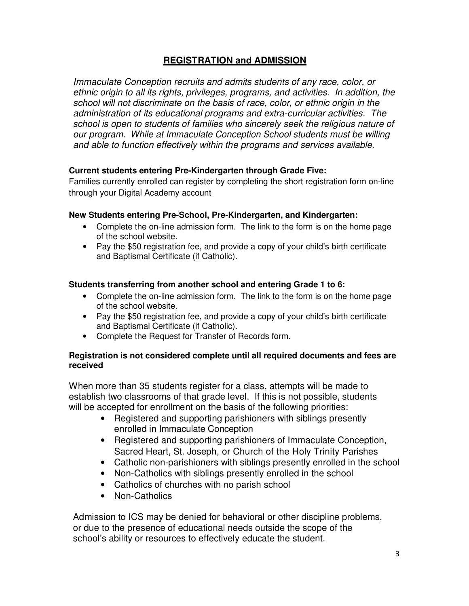### **REGISTRATION and ADMISSION**

*Immaculate Conception recruits and admits students of any race, color, or ethnic origin to all its rights, privileges, programs, and activities. In addition, the school will not discriminate on the basis of race, color, or ethnic origin in the administration of its educational programs and extra-curricular activities. The school is open to students of families who sincerely seek the religious nature of our program. While at Immaculate Conception School students must be willing and able to function effectively within the programs and services available.*

#### **Current students entering Pre-Kindergarten through Grade Five:**

Families currently enrolled can register by completing the short registration form on-line through your Digital Academy account

#### **New Students entering Pre-School, Pre-Kindergarten, and Kindergarten:**

- Complete the on-line admission form. The link to the form is on the home page of the school website.
- Pay the \$50 registration fee, and provide a copy of your child's birth certificate and Baptismal Certificate (if Catholic).

#### **Students transferring from another school and entering Grade 1 to 6:**

- Complete the on-line admission form. The link to the form is on the home page of the school website.
- Pay the \$50 registration fee, and provide a copy of your child's birth certificate and Baptismal Certificate (if Catholic).
- Complete the Request for Transfer of Records form.

#### **Registration is not considered complete until all required documents and fees are received**

When more than 35 students register for a class, attempts will be made to establish two classrooms of that grade level. If this is not possible, students will be accepted for enrollment on the basis of the following priorities:

- Registered and supporting parishioners with siblings presently enrolled in Immaculate Conception
- Registered and supporting parishioners of Immaculate Conception, Sacred Heart, St. Joseph, or Church of the Holy Trinity Parishes
- Catholic non-parishioners with siblings presently enrolled in the school
- Non-Catholics with siblings presently enrolled in the school
- Catholics of churches with no parish school
- Non-Catholics

Admission to ICS may be denied for behavioral or other discipline problems, or due to the presence of educational needs outside the scope of the school's ability or resources to effectively educate the student.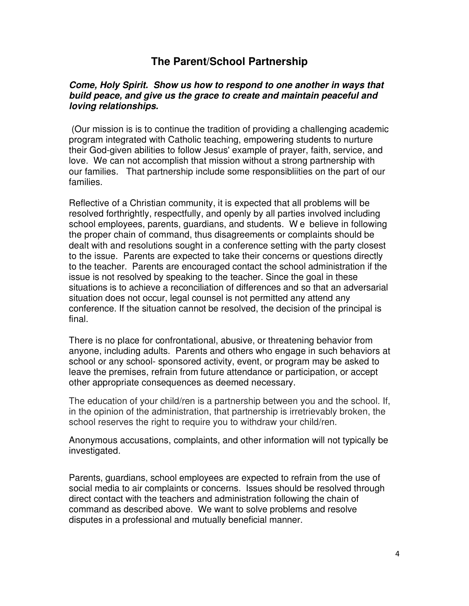# **The Parent/School Partnership**

#### **Come, Holy Spirit. Show us how to respond to one another in ways that build peace, and give us the grace to create and maintain peaceful and loving relationships.**

 (Our mission is is to continue the tradition of providing a challenging academic program integrated with Catholic teaching, empowering students to nurture their God-given abilities to follow Jesus' example of prayer, faith, service, and love. We can not accomplish that mission without a strong partnership with our families. That partnership include some responsibliities on the part of our families.

Reflective of a Christian community, it is expected that all problems will be resolved forthrightly, respectfully, and openly by all parties involved including school employees, parents, guardians, and students. W e believe in following the proper chain of command, thus disagreements or complaints should be dealt with and resolutions sought in a conference setting with the party closest to the issue. Parents are expected to take their concerns or questions directly to the teacher. Parents are encouraged contact the school administration if the issue is not resolved by speaking to the teacher. Since the goal in these situations is to achieve a reconciliation of differences and so that an adversarial situation does not occur, legal counsel is not permitted any attend any conference. If the situation cannot be resolved, the decision of the principal is final.

There is no place for confrontational, abusive, or threatening behavior from anyone, including adults. Parents and others who engage in such behaviors at school or any school- sponsored activity, event, or program may be asked to leave the premises, refrain from future attendance or participation, or accept other appropriate consequences as deemed necessary.

The education of your child/ren is a partnership between you and the school. If, in the opinion of the administration, that partnership is irretrievably broken, the school reserves the right to require you to withdraw your child/ren.

Anonymous accusations, complaints, and other information will not typically be investigated.

Parents, guardians, school employees are expected to refrain from the use of social media to air complaints or concerns. Issues should be resolved through direct contact with the teachers and administration following the chain of command as described above. We want to solve problems and resolve disputes in a professional and mutually beneficial manner.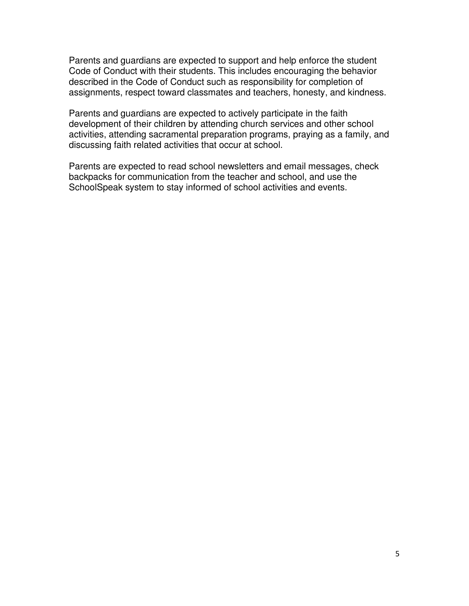Parents and guardians are expected to support and help enforce the student Code of Conduct with their students. This includes encouraging the behavior described in the Code of Conduct such as responsibility for completion of assignments, respect toward classmates and teachers, honesty, and kindness.

Parents and guardians are expected to actively participate in the faith development of their children by attending church services and other school activities, attending sacramental preparation programs, praying as a family, and discussing faith related activities that occur at school.

Parents are expected to read school newsletters and email messages, check backpacks for communication from the teacher and school, and use the SchoolSpeak system to stay informed of school activities and events.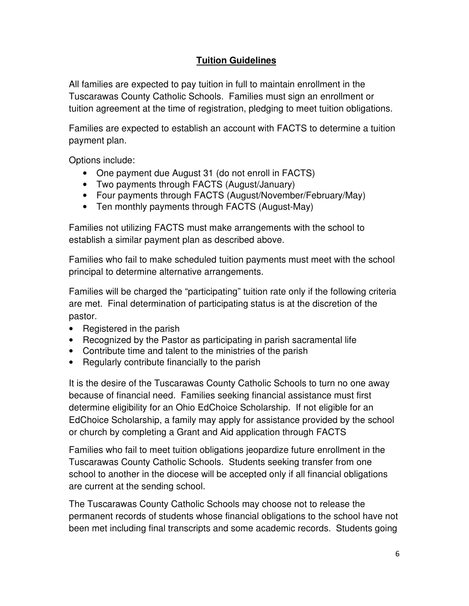# **Tuition Guidelines**

All families are expected to pay tuition in full to maintain enrollment in the Tuscarawas County Catholic Schools. Families must sign an enrollment or tuition agreement at the time of registration, pledging to meet tuition obligations.

Families are expected to establish an account with FACTS to determine a tuition payment plan.

Options include:

- One payment due August 31 (do not enroll in FACTS)
- Two payments through FACTS (August/January)
- Four payments through FACTS (August/November/February/May)
- Ten monthly payments through FACTS (August-May)

Families not utilizing FACTS must make arrangements with the school to establish a similar payment plan as described above.

Families who fail to make scheduled tuition payments must meet with the school principal to determine alternative arrangements.

Families will be charged the "participating" tuition rate only if the following criteria are met. Final determination of participating status is at the discretion of the pastor.

- Registered in the parish
- Recognized by the Pastor as participating in parish sacramental life
- Contribute time and talent to the ministries of the parish
- Regularly contribute financially to the parish

It is the desire of the Tuscarawas County Catholic Schools to turn no one away because of financial need. Families seeking financial assistance must first determine eligibility for an Ohio EdChoice Scholarship. If not eligible for an EdChoice Scholarship, a family may apply for assistance provided by the school or church by completing a Grant and Aid application through FACTS

Families who fail to meet tuition obligations jeopardize future enrollment in the Tuscarawas County Catholic Schools. Students seeking transfer from one school to another in the diocese will be accepted only if all financial obligations are current at the sending school.

The Tuscarawas County Catholic Schools may choose not to release the permanent records of students whose financial obligations to the school have not been met including final transcripts and some academic records. Students going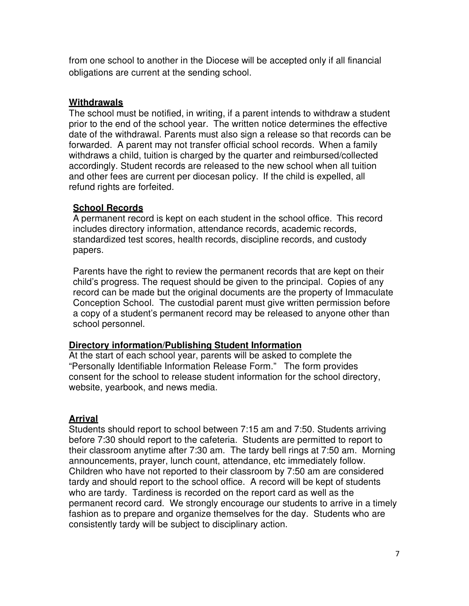from one school to another in the Diocese will be accepted only if all financial obligations are current at the sending school.

### **Withdrawals**

The school must be notified, in writing, if a parent intends to withdraw a student prior to the end of the school year. The written notice determines the effective date of the withdrawal. Parents must also sign a release so that records can be forwarded. A parent may not transfer official school records. When a family withdraws a child, tuition is charged by the quarter and reimbursed/collected accordingly. Student records are released to the new school when all tuition and other fees are current per diocesan policy. If the child is expelled, all refund rights are forfeited.

### **School Records**

A permanent record is kept on each student in the school office. This record includes directory information, attendance records, academic records, standardized test scores, health records, discipline records, and custody papers.

Parents have the right to review the permanent records that are kept on their child's progress. The request should be given to the principal. Copies of any record can be made but the original documents are the property of Immaculate Conception School. The custodial parent must give written permission before a copy of a student's permanent record may be released to anyone other than school personnel.

#### **Directory information/Publishing Student Information**

At the start of each school year, parents will be asked to complete the "Personally Identifiable Information Release Form." The form provides consent for the school to release student information for the school directory, website, yearbook, and news media.

### **Arrival**

Students should report to school between 7:15 am and 7:50. Students arriving before 7:30 should report to the cafeteria. Students are permitted to report to their classroom anytime after 7:30 am. The tardy bell rings at 7:50 am. Morning announcements, prayer, lunch count, attendance, etc immediately follow. Children who have not reported to their classroom by 7:50 am are considered tardy and should report to the school office. A record will be kept of students who are tardy. Tardiness is recorded on the report card as well as the permanent record card. We strongly encourage our students to arrive in a timely fashion as to prepare and organize themselves for the day. Students who are consistently tardy will be subject to disciplinary action.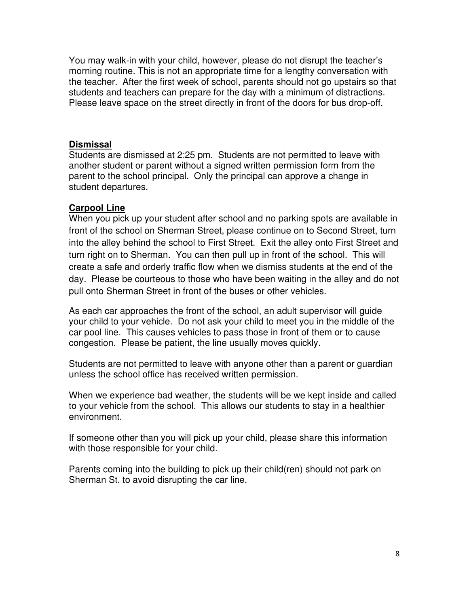You may walk-in with your child, however, please do not disrupt the teacher's morning routine. This is not an appropriate time for a lengthy conversation with the teacher. After the first week of school, parents should not go upstairs so that students and teachers can prepare for the day with a minimum of distractions. Please leave space on the street directly in front of the doors for bus drop-off.

### **Dismissal**

Students are dismissed at 2:25 pm. Students are not permitted to leave with another student or parent without a signed written permission form from the parent to the school principal. Only the principal can approve a change in student departures.

### **Carpool Line**

When you pick up your student after school and no parking spots are available in front of the school on Sherman Street, please continue on to Second Street, turn into the alley behind the school to First Street. Exit the alley onto First Street and turn right on to Sherman. You can then pull up in front of the school. This will create a safe and orderly traffic flow when we dismiss students at the end of the day. Please be courteous to those who have been waiting in the alley and do not pull onto Sherman Street in front of the buses or other vehicles.

As each car approaches the front of the school, an adult supervisor will guide your child to your vehicle. Do not ask your child to meet you in the middle of the car pool line. This causes vehicles to pass those in front of them or to cause congestion. Please be patient, the line usually moves quickly.

Students are not permitted to leave with anyone other than a parent or guardian unless the school office has received written permission.

When we experience bad weather, the students will be we kept inside and called to your vehicle from the school. This allows our students to stay in a healthier environment.

If someone other than you will pick up your child, please share this information with those responsible for your child.

Parents coming into the building to pick up their child(ren) should not park on Sherman St. to avoid disrupting the car line.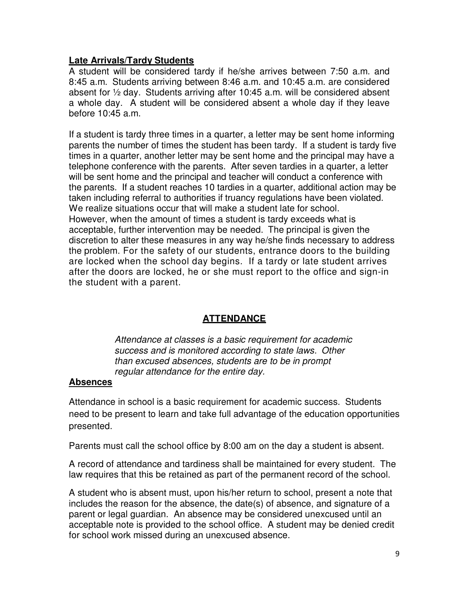#### **Late Arrivals/Tardy Students**

A student will be considered tardy if he/she arrives between 7:50 a.m. and 8:45 a.m. Students arriving between 8:46 a.m. and 10:45 a.m. are considered absent for ½ day. Students arriving after 10:45 a.m. will be considered absent a whole day. A student will be considered absent a whole day if they leave before 10:45 a.m.

If a student is tardy three times in a quarter, a letter may be sent home informing parents the number of times the student has been tardy. If a student is tardy five times in a quarter, another letter may be sent home and the principal may have a telephone conference with the parents. After seven tardies in a quarter, a letter will be sent home and the principal and teacher will conduct a conference with the parents. If a student reaches 10 tardies in a quarter, additional action may be taken including referral to authorities if truancy regulations have been violated. We realize situations occur that will make a student late for school. However, when the amount of times a student is tardy exceeds what is acceptable, further intervention may be needed. The principal is given the discretion to alter these measures in any way he/she finds necessary to address the problem. For the safety of our students, entrance doors to the building are locked when the school day begins. If a tardy or late student arrives after the doors are locked, he or she must report to the office and sign-in the student with a parent.

### **ATTENDANCE**

*Attendance at classes is a basic requirement for academic success and is monitored according to state laws. Other than excused absences, students are to be in prompt regular attendance for the entire day.*

### **Absences**

Attendance in school is a basic requirement for academic success. Students need to be present to learn and take full advantage of the education opportunities presented.

Parents must call the school office by 8:00 am on the day a student is absent.

A record of attendance and tardiness shall be maintained for every student. The law requires that this be retained as part of the permanent record of the school.

A student who is absent must, upon his/her return to school, present a note that includes the reason for the absence, the date(s) of absence, and signature of a parent or legal guardian. An absence may be considered unexcused until an acceptable note is provided to the school office. A student may be denied credit for school work missed during an unexcused absence.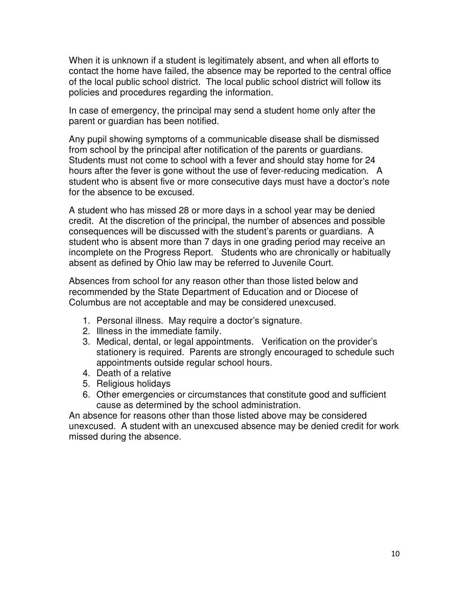When it is unknown if a student is legitimately absent, and when all efforts to contact the home have failed, the absence may be reported to the central office of the local public school district. The local public school district will follow its policies and procedures regarding the information.

In case of emergency, the principal may send a student home only after the parent or guardian has been notified.

Any pupil showing symptoms of a communicable disease shall be dismissed from school by the principal after notification of the parents or guardians. Students must not come to school with a fever and should stay home for 24 hours after the fever is gone without the use of fever-reducing medication. A student who is absent five or more consecutive days must have a doctor's note for the absence to be excused.

A student who has missed 28 or more days in a school year may be denied credit. At the discretion of the principal, the number of absences and possible consequences will be discussed with the student's parents or guardians. A student who is absent more than 7 days in one grading period may receive an incomplete on the Progress Report. Students who are chronically or habitually absent as defined by Ohio law may be referred to Juvenile Court.

Absences from school for any reason other than those listed below and recommended by the State Department of Education and or Diocese of Columbus are not acceptable and may be considered unexcused.

- 1. Personal illness. May require a doctor's signature.
- 2. Illness in the immediate family.
- 3. Medical, dental, or legal appointments. Verification on the provider's stationery is required. Parents are strongly encouraged to schedule such appointments outside regular school hours.
- 4. Death of a relative
- 5. Religious holidays
- 6. Other emergencies or circumstances that constitute good and sufficient cause as determined by the school administration.

An absence for reasons other than those listed above may be considered unexcused. A student with an unexcused absence may be denied credit for work missed during the absence.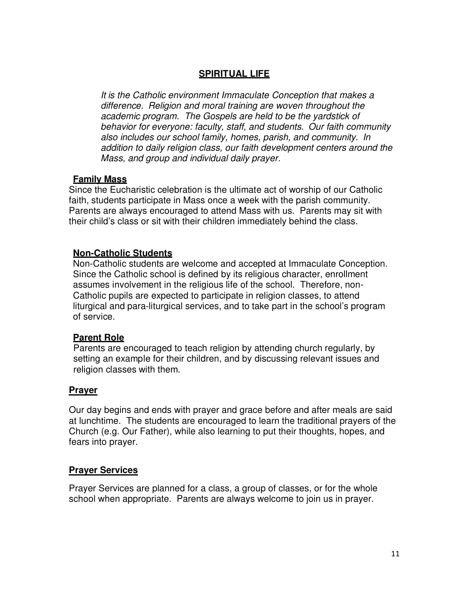### **SPIRITUAL LIFE**

*It is the Catholic environment Immaculate Conception that makes a difference. Religion and moral training are woven throughout the academic program. The Gospels are held to be the yardstick of behavior for everyone: faculty, staff, and students. Our faith community also includes our school family, homes, parish, and community. In addition to daily religion class, our faith development centers around the Mass, and group and individual daily prayer.*

#### **Family Mass**

Since the Eucharistic celebration is the ultimate act of worship of our Catholic faith, students participate in Mass once a week with the parish community. Parents are always encouraged to attend Mass with us. Parents may sit with their child's class or sit with their children immediately behind the class.

#### **Non-Catholic Students**

Non-Catholic students are welcome and accepted at Immaculate Conception. Since the Catholic school is defined by its religious character, enrollment assumes involvement in the religious life of the school. Therefore, non-Catholic pupils are expected to participate in religion classes, to attend liturgical and para-liturgical services, and to take part in the school's program of service.

#### **Parent Role**

Parents are encouraged to teach religion by attending church regularly, by setting an example for their children, and by discussing relevant issues and religion classes with them.

#### **Prayer**

Our day begins and ends with prayer and grace before and after meals are said at lunchtime. The students are encouraged to learn the traditional prayers of the Church (e.g. Our Father), while also learning to put their thoughts, hopes, and fears into prayer.

#### **Prayer Services**

Prayer Services are planned for a class, a group of classes, or for the whole school when appropriate. Parents are always welcome to join us in prayer.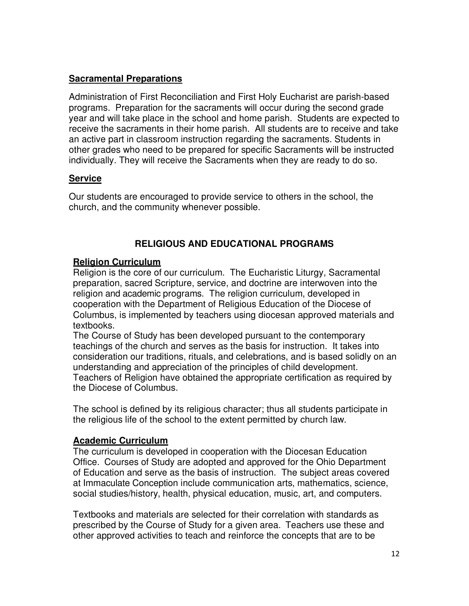### **Sacramental Preparations**

Administration of First Reconciliation and First Holy Eucharist are parish-based programs. Preparation for the sacraments will occur during the second grade year and will take place in the school and home parish. Students are expected to receive the sacraments in their home parish. All students are to receive and take an active part in classroom instruction regarding the sacraments. Students in other grades who need to be prepared for specific Sacraments will be instructed individually. They will receive the Sacraments when they are ready to do so.

### **Service**

Our students are encouraged to provide service to others in the school, the church, and the community whenever possible.

### **RELIGIOUS AND EDUCATIONAL PROGRAMS**

### **Religion Curriculum**

Religion is the core of our curriculum. The Eucharistic Liturgy, Sacramental preparation, sacred Scripture, service, and doctrine are interwoven into the religion and academic programs. The religion curriculum, developed in cooperation with the Department of Religious Education of the Diocese of Columbus, is implemented by teachers using diocesan approved materials and textbooks.

The Course of Study has been developed pursuant to the contemporary teachings of the church and serves as the basis for instruction. It takes into consideration our traditions, rituals, and celebrations, and is based solidly on an understanding and appreciation of the principles of child development. Teachers of Religion have obtained the appropriate certification as required by the Diocese of Columbus.

The school is defined by its religious character; thus all students participate in the religious life of the school to the extent permitted by church law.

### **Academic Curriculum**

The curriculum is developed in cooperation with the Diocesan Education Office. Courses of Study are adopted and approved for the Ohio Department of Education and serve as the basis of instruction. The subject areas covered at Immaculate Conception include communication arts, mathematics, science, social studies/history, health, physical education, music, art, and computers.

Textbooks and materials are selected for their correlation with standards as prescribed by the Course of Study for a given area. Teachers use these and other approved activities to teach and reinforce the concepts that are to be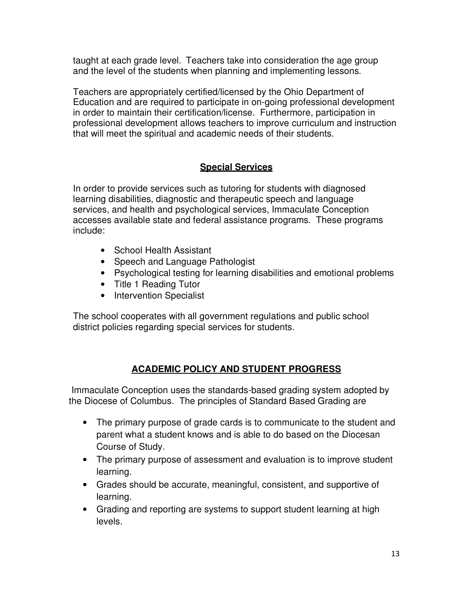taught at each grade level. Teachers take into consideration the age group and the level of the students when planning and implementing lessons.

Teachers are appropriately certified/licensed by the Ohio Department of Education and are required to participate in on-going professional development in order to maintain their certification/license. Furthermore, participation in professional development allows teachers to improve curriculum and instruction that will meet the spiritual and academic needs of their students.

# **Special Services**

In order to provide services such as tutoring for students with diagnosed learning disabilities, diagnostic and therapeutic speech and language services, and health and psychological services, Immaculate Conception accesses available state and federal assistance programs. These programs include:

- School Health Assistant
- Speech and Language Pathologist
- Psychological testing for learning disabilities and emotional problems
- Title 1 Reading Tutor
- Intervention Specialist

The school cooperates with all government regulations and public school district policies regarding special services for students.

### **ACADEMIC POLICY AND STUDENT PROGRESS**

 Immaculate Conception uses the standards-based grading system adopted by the Diocese of Columbus. The principles of Standard Based Grading are

- The primary purpose of grade cards is to communicate to the student and parent what a student knows and is able to do based on the Diocesan Course of Study.
- The primary purpose of assessment and evaluation is to improve student learning.
- Grades should be accurate, meaningful, consistent, and supportive of learning.
- Grading and reporting are systems to support student learning at high levels.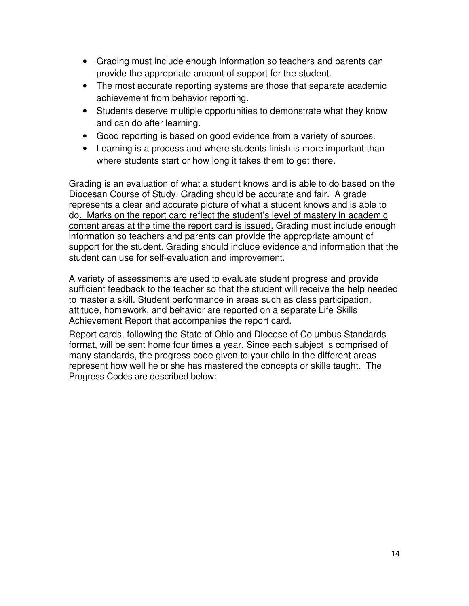- Grading must include enough information so teachers and parents can provide the appropriate amount of support for the student.
- The most accurate reporting systems are those that separate academic achievement from behavior reporting.
- Students deserve multiple opportunities to demonstrate what they know and can do after learning.
- Good reporting is based on good evidence from a variety of sources.
- Learning is a process and where students finish is more important than where students start or how long it takes them to get there.

Grading is an evaluation of what a student knows and is able to do based on the Diocesan Course of Study. Grading should be accurate and fair. A grade represents a clear and accurate picture of what a student knows and is able to do. Marks on the report card reflect the student's level of mastery in academic content areas at the time the report card is issued. Grading must include enough information so teachers and parents can provide the appropriate amount of support for the student. Grading should include evidence and information that the student can use for self-evaluation and improvement.

A variety of assessments are used to evaluate student progress and provide sufficient feedback to the teacher so that the student will receive the help needed to master a skill. Student performance in areas such as class participation, attitude, homework, and behavior are reported on a separate Life Skills Achievement Report that accompanies the report card.

Report cards, following the State of Ohio and Diocese of Columbus Standards format, will be sent home four times a year. Since each subject is comprised of many standards, the progress code given to your child in the different areas represent how well he or she has mastered the concepts or skills taught. The Progress Codes are described below: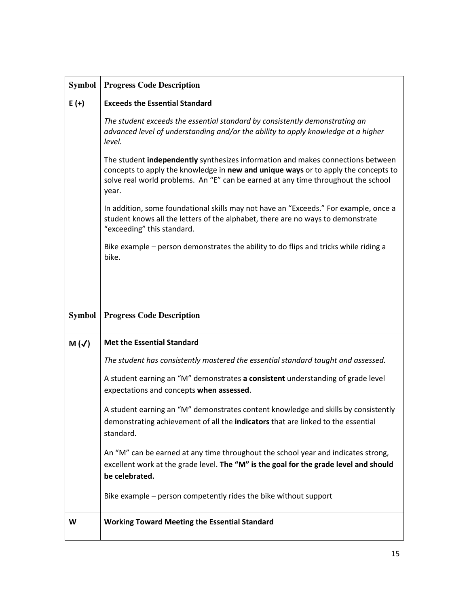| <b>Symbol</b> | <b>Progress Code Description</b>                                                                                                                                                                                                                                    |
|---------------|---------------------------------------------------------------------------------------------------------------------------------------------------------------------------------------------------------------------------------------------------------------------|
| $E (+)$       | <b>Exceeds the Essential Standard</b>                                                                                                                                                                                                                               |
|               | The student exceeds the essential standard by consistently demonstrating an<br>advanced level of understanding and/or the ability to apply knowledge at a higher<br>level.                                                                                          |
|               | The student independently synthesizes information and makes connections between<br>concepts to apply the knowledge in new and unique ways or to apply the concepts to<br>solve real world problems. An "E" can be earned at any time throughout the school<br>year. |
|               | In addition, some foundational skills may not have an "Exceeds." For example, once a<br>student knows all the letters of the alphabet, there are no ways to demonstrate<br>"exceeding" this standard.                                                               |
|               | Bike example – person demonstrates the ability to do flips and tricks while riding a<br>bike.                                                                                                                                                                       |
|               |                                                                                                                                                                                                                                                                     |
|               |                                                                                                                                                                                                                                                                     |
|               |                                                                                                                                                                                                                                                                     |
| <b>Symbol</b> | <b>Progress Code Description</b>                                                                                                                                                                                                                                    |
| $M(\sqrt{})$  | <b>Met the Essential Standard</b>                                                                                                                                                                                                                                   |
|               | The student has consistently mastered the essential standard taught and assessed.                                                                                                                                                                                   |
|               | A student earning an "M" demonstrates a consistent understanding of grade level<br>expectations and concepts when assessed.                                                                                                                                         |
|               | A student earning an "M" demonstrates content knowledge and skills by consistently<br>demonstrating achievement of all the indicators that are linked to the essential<br>standard.                                                                                 |
|               | An "M" can be earned at any time throughout the school year and indicates strong,<br>excellent work at the grade level. The "M" is the goal for the grade level and should<br>be celebrated.                                                                        |
|               | Bike example - person competently rides the bike without support                                                                                                                                                                                                    |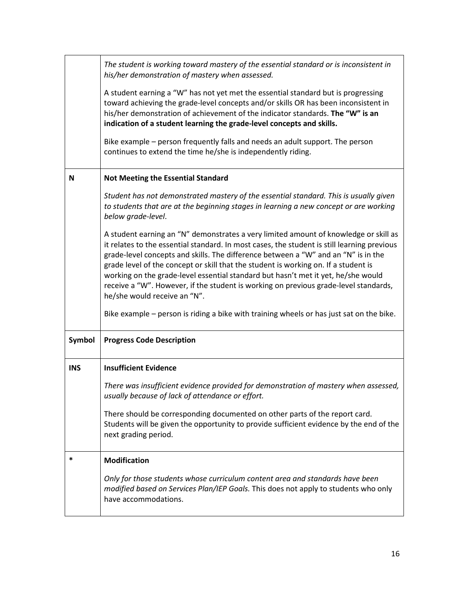|            | The student is working toward mastery of the essential standard or is inconsistent in<br>his/her demonstration of mastery when assessed.                                                                                                                                                                                                                                                                                                                                                                                                                                                                                                                                  |
|------------|---------------------------------------------------------------------------------------------------------------------------------------------------------------------------------------------------------------------------------------------------------------------------------------------------------------------------------------------------------------------------------------------------------------------------------------------------------------------------------------------------------------------------------------------------------------------------------------------------------------------------------------------------------------------------|
|            | A student earning a "W" has not yet met the essential standard but is progressing<br>toward achieving the grade-level concepts and/or skills OR has been inconsistent in<br>his/her demonstration of achievement of the indicator standards. The "W" is an<br>indication of a student learning the grade-level concepts and skills.                                                                                                                                                                                                                                                                                                                                       |
|            | Bike example – person frequently falls and needs an adult support. The person<br>continues to extend the time he/she is independently riding.                                                                                                                                                                                                                                                                                                                                                                                                                                                                                                                             |
| N          | <b>Not Meeting the Essential Standard</b>                                                                                                                                                                                                                                                                                                                                                                                                                                                                                                                                                                                                                                 |
|            | Student has not demonstrated mastery of the essential standard. This is usually given<br>to students that are at the beginning stages in learning a new concept or are working<br>below grade-level.                                                                                                                                                                                                                                                                                                                                                                                                                                                                      |
|            | A student earning an "N" demonstrates a very limited amount of knowledge or skill as<br>it relates to the essential standard. In most cases, the student is still learning previous<br>grade-level concepts and skills. The difference between a "W" and an "N" is in the<br>grade level of the concept or skill that the student is working on. If a student is<br>working on the grade-level essential standard but hasn't met it yet, he/she would<br>receive a "W". However, if the student is working on previous grade-level standards,<br>he/she would receive an "N".<br>Bike example – person is riding a bike with training wheels or has just sat on the bike. |
| Symbol     | <b>Progress Code Description</b>                                                                                                                                                                                                                                                                                                                                                                                                                                                                                                                                                                                                                                          |
| <b>INS</b> | <b>Insufficient Evidence</b>                                                                                                                                                                                                                                                                                                                                                                                                                                                                                                                                                                                                                                              |
|            | There was insufficient evidence provided for demonstration of mastery when assessed,<br>usually because of lack of attendance or effort.                                                                                                                                                                                                                                                                                                                                                                                                                                                                                                                                  |
|            | There should be corresponding documented on other parts of the report card.<br>Students will be given the opportunity to provide sufficient evidence by the end of the<br>next grading period.                                                                                                                                                                                                                                                                                                                                                                                                                                                                            |
| *          | <b>Modification</b>                                                                                                                                                                                                                                                                                                                                                                                                                                                                                                                                                                                                                                                       |
|            | Only for those students whose curriculum content area and standards have been<br>modified based on Services Plan/IEP Goals. This does not apply to students who only<br>have accommodations.                                                                                                                                                                                                                                                                                                                                                                                                                                                                              |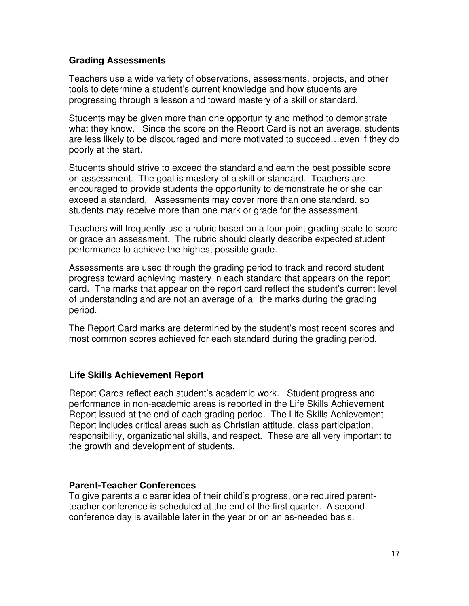#### **Grading Assessments**

Teachers use a wide variety of observations, assessments, projects, and other tools to determine a student's current knowledge and how students are progressing through a lesson and toward mastery of a skill or standard.

Students may be given more than one opportunity and method to demonstrate what they know. Since the score on the Report Card is not an average, students are less likely to be discouraged and more motivated to succeed…even if they do poorly at the start.

Students should strive to exceed the standard and earn the best possible score on assessment. The goal is mastery of a skill or standard. Teachers are encouraged to provide students the opportunity to demonstrate he or she can exceed a standard. Assessments may cover more than one standard, so students may receive more than one mark or grade for the assessment.

Teachers will frequently use a rubric based on a four-point grading scale to score or grade an assessment. The rubric should clearly describe expected student performance to achieve the highest possible grade.

Assessments are used through the grading period to track and record student progress toward achieving mastery in each standard that appears on the report card. The marks that appear on the report card reflect the student's current level of understanding and are not an average of all the marks during the grading period.

The Report Card marks are determined by the student's most recent scores and most common scores achieved for each standard during the grading period.

### **Life Skills Achievement Report**

Report Cards reflect each student's academic work. Student progress and performance in non-academic areas is reported in the Life Skills Achievement Report issued at the end of each grading period. The Life Skills Achievement Report includes critical areas such as Christian attitude, class participation, responsibility, organizational skills, and respect. These are all very important to the growth and development of students.

#### **Parent-Teacher Conferences**

To give parents a clearer idea of their child's progress, one required parentteacher conference is scheduled at the end of the first quarter. A second conference day is available later in the year or on an as-needed basis.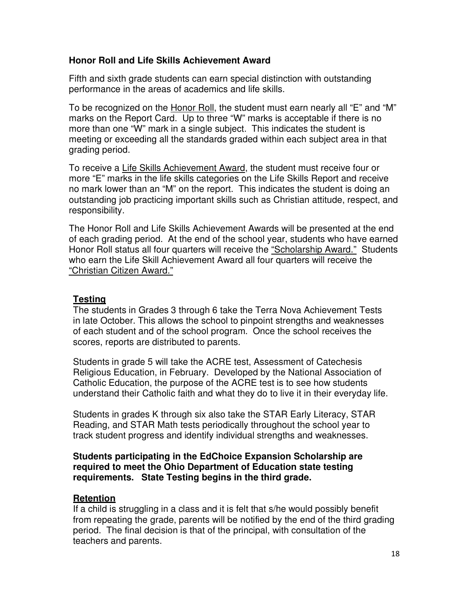### **Honor Roll and Life Skills Achievement Award**

Fifth and sixth grade students can earn special distinction with outstanding performance in the areas of academics and life skills.

To be recognized on the Honor Roll, the student must earn nearly all "E" and "M" marks on the Report Card. Up to three "W" marks is acceptable if there is no more than one "W" mark in a single subject. This indicates the student is meeting or exceeding all the standards graded within each subject area in that grading period.

To receive a Life Skills Achievement Award, the student must receive four or more "E" marks in the life skills categories on the Life Skills Report and receive no mark lower than an "M" on the report. This indicates the student is doing an outstanding job practicing important skills such as Christian attitude, respect, and responsibility.

The Honor Roll and Life Skills Achievement Awards will be presented at the end of each grading period. At the end of the school year, students who have earned Honor Roll status all four quarters will receive the "Scholarship Award." Students who earn the Life Skill Achievement Award all four quarters will receive the "Christian Citizen Award."

### **Testing**

The students in Grades 3 through 6 take the Terra Nova Achievement Tests in late October. This allows the school to pinpoint strengths and weaknesses of each student and of the school program. Once the school receives the scores, reports are distributed to parents.

Students in grade 5 will take the ACRE test, Assessment of Catechesis Religious Education, in February. Developed by the National Association of Catholic Education, the purpose of the ACRE test is to see how students understand their Catholic faith and what they do to live it in their everyday life.

Students in grades K through six also take the STAR Early Literacy, STAR Reading, and STAR Math tests periodically throughout the school year to track student progress and identify individual strengths and weaknesses.

#### **Students participating in the EdChoice Expansion Scholarship are required to meet the Ohio Department of Education state testing requirements. State Testing begins in the third grade.**

### **Retention**

If a child is struggling in a class and it is felt that s/he would possibly benefit from repeating the grade, parents will be notified by the end of the third grading period. The final decision is that of the principal, with consultation of the teachers and parents.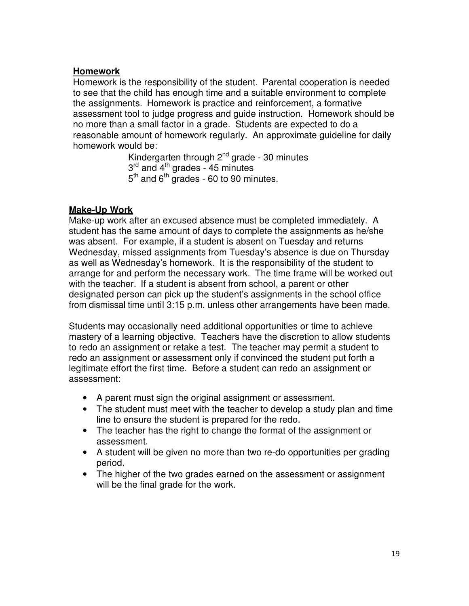### **Homework**

Homework is the responsibility of the student. Parental cooperation is needed to see that the child has enough time and a suitable environment to complete the assignments. Homework is practice and reinforcement, a formative assessment tool to judge progress and guide instruction. Homework should be no more than a small factor in a grade.Students are expected to do a reasonable amount of homework regularly. An approximate guideline for daily homework would be:

> Kindergarten through  $2^{nd}$  grade - 30 minutes 3<sup>rd</sup> and 4<sup>th</sup> grades - 45 minutes  $5<sup>th</sup>$  and  $6<sup>th</sup>$  grades - 60 to 90 minutes.

### **Make-Up Work**

Make-up work after an excused absence must be completed immediately. A student has the same amount of days to complete the assignments as he/she was absent. For example, if a student is absent on Tuesday and returns Wednesday, missed assignments from Tuesday's absence is due on Thursday as well as Wednesday's homework. It is the responsibility of the student to arrange for and perform the necessary work. The time frame will be worked out with the teacher. If a student is absent from school, a parent or other designated person can pick up the student's assignments in the school office from dismissal time until 3:15 p.m. unless other arrangements have been made.

Students may occasionally need additional opportunities or time to achieve mastery of a learning objective. Teachers have the discretion to allow students to redo an assignment or retake a test. The teacher may permit a student to redo an assignment or assessment only if convinced the student put forth a legitimate effort the first time. Before a student can redo an assignment or assessment:

- A parent must sign the original assignment or assessment.
- The student must meet with the teacher to develop a study plan and time line to ensure the student is prepared for the redo.
- The teacher has the right to change the format of the assignment or assessment.
- A student will be given no more than two re-do opportunities per grading period.
- The higher of the two grades earned on the assessment or assignment will be the final grade for the work.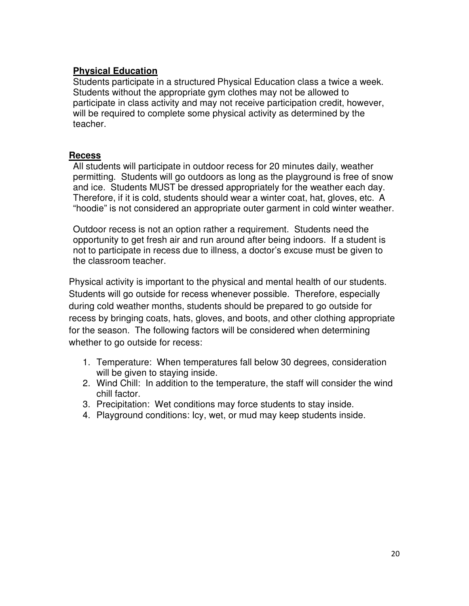### **Physical Education**

Students participate in a structured Physical Education class a twice a week. Students without the appropriate gym clothes may not be allowed to participate in class activity and may not receive participation credit, however, will be required to complete some physical activity as determined by the teacher.

#### **Recess**

All students will participate in outdoor recess for 20 minutes daily, weather permitting. Students will go outdoors as long as the playground is free of snow and ice. Students MUST be dressed appropriately for the weather each day. Therefore, if it is cold, students should wear a winter coat, hat, gloves, etc. A "hoodie" is not considered an appropriate outer garment in cold winter weather.

Outdoor recess is not an option rather a requirement. Students need the opportunity to get fresh air and run around after being indoors. If a student is not to participate in recess due to illness, a doctor's excuse must be given to the classroom teacher.

Physical activity is important to the physical and mental health of our students. Students will go outside for recess whenever possible. Therefore, especially during cold weather months, students should be prepared to go outside for recess by bringing coats, hats, gloves, and boots, and other clothing appropriate for the season. The following factors will be considered when determining whether to go outside for recess:

- 1. Temperature: When temperatures fall below 30 degrees, consideration will be given to staying inside.
- 2. Wind Chill: In addition to the temperature, the staff will consider the wind chill factor.
- 3. Precipitation: Wet conditions may force students to stay inside.
- 4. Playground conditions: Icy, wet, or mud may keep students inside.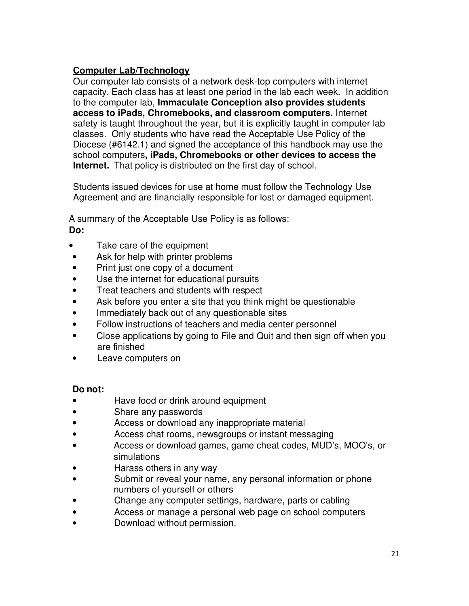### **Computer Lab/Technology**

Our computer lab consists of a network desk-top computers with internet capacity. Each class has at least one period in the lab each week. In addition to the computer lab, **Immaculate Conception also provides students access to iPads, Chromebooks, and classroom computers.** Internet safety is taught throughout the year, but it is explicitly taught in computer lab classes. Only students who have read the Acceptable Use Policy of the Diocese (#6142.1) and signed the acceptance of this handbook may use the school computers**, iPads, Chromebooks or other devices to access the Internet.** That policy is distributed on the first day of school.

Students issued devices for use at home must follow the Technology Use Agreement and are financially responsible for lost or damaged equipment.

A summary of the Acceptable Use Policy is as follows:  **Do:** 

- Take care of the equipment
- Ask for help with printer problems
- Print just one copy of a document
- Use the internet for educational pursuits
- Treat teachers and students with respect
- Ask before you enter a site that you think might be questionable
- Immediately back out of any questionable sites
- Follow instructions of teachers and media center personnel
- Close applications by going to File and Quit and then sign off when you are finished
- Leave computers on

### **Do not:**

- Have food or drink around equipment
- Share any passwords
- Access or download any inappropriate material
- Access chat rooms, newsgroups or instant messaging
- Access or download games, game cheat codes, MUD's, MOO's, or simulations
- Harass others in any way
- Submit or reveal your name, any personal information or phone numbers of yourself or others
- Change any computer settings, hardware, parts or cabling
- Access or manage a personal web page on school computers
- Download without permission.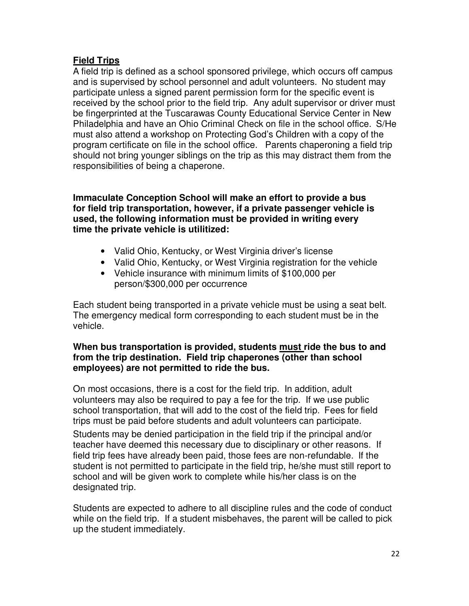### **Field Trips**

A field trip is defined as a school sponsored privilege, which occurs off campus and is supervised by school personnel and adult volunteers. No student may participate unless a signed parent permission form for the specific event is received by the school prior to the field trip. Any adult supervisor or driver must be fingerprinted at the Tuscarawas County Educational Service Center in New Philadelphia and have an Ohio Criminal Check on file in the school office. S/He must also attend a workshop on Protecting God's Children with a copy of the program certificate on file in the school office. Parents chaperoning a field trip should not bring younger siblings on the trip as this may distract them from the responsibilities of being a chaperone.

**Immaculate Conception School will make an effort to provide a bus for field trip transportation, however, if a private passenger vehicle is used, the following information must be provided in writing every time the private vehicle is utilitized:** 

- Valid Ohio, Kentucky, or West Virginia driver's license
- Valid Ohio, Kentucky, or West Virginia registration for the vehicle
- Vehicle insurance with minimum limits of \$100,000 per person/\$300,000 per occurrence

Each student being transported in a private vehicle must be using a seat belt. The emergency medical form corresponding to each student must be in the vehicle.

### **When bus transportation is provided, students must ride the bus to and from the trip destination. Field trip chaperones (other than school employees) are not permitted to ride the bus.**

On most occasions, there is a cost for the field trip. In addition, adult volunteers may also be required to pay a fee for the trip. If we use public school transportation, that will add to the cost of the field trip. Fees for field trips must be paid before students and adult volunteers can participate.

Students may be denied participation in the field trip if the principal and/or teacher have deemed this necessary due to disciplinary or other reasons. If field trip fees have already been paid, those fees are non-refundable. If the student is not permitted to participate in the field trip, he/she must still report to school and will be given work to complete while his/her class is on the designated trip.

Students are expected to adhere to all discipline rules and the code of conduct while on the field trip. If a student misbehaves, the parent will be called to pick up the student immediately.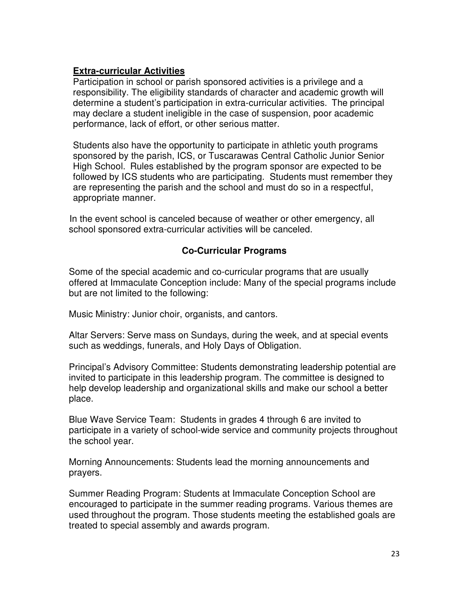### **Extra-curricular Activities**

Participation in school or parish sponsored activities is a privilege and a responsibility. The eligibility standards of character and academic growth will determine a student's participation in extra-curricular activities. The principal may declare a student ineligible in the case of suspension, poor academic performance, lack of effort, or other serious matter.

Students also have the opportunity to participate in athletic youth programs sponsored by the parish, ICS, or Tuscarawas Central Catholic Junior Senior High School. Rules established by the program sponsor are expected to be followed by ICS students who are participating. Students must remember they are representing the parish and the school and must do so in a respectful, appropriate manner.

In the event school is canceled because of weather or other emergency, all school sponsored extra-curricular activities will be canceled.

### **Co-Curricular Programs**

Some of the special academic and co-curricular programs that are usually offered at Immaculate Conception include: Many of the special programs include but are not limited to the following:

Music Ministry: Junior choir, organists, and cantors.

Altar Servers: Serve mass on Sundays, during the week, and at special events such as weddings, funerals, and Holy Days of Obligation.

Principal's Advisory Committee: Students demonstrating leadership potential are invited to participate in this leadership program. The committee is designed to help develop leadership and organizational skills and make our school a better place.

Blue Wave Service Team: Students in grades 4 through 6 are invited to participate in a variety of school-wide service and community projects throughout the school year.

Morning Announcements: Students lead the morning announcements and prayers.

Summer Reading Program: Students at Immaculate Conception School are encouraged to participate in the summer reading programs. Various themes are used throughout the program. Those students meeting the established goals are treated to special assembly and awards program.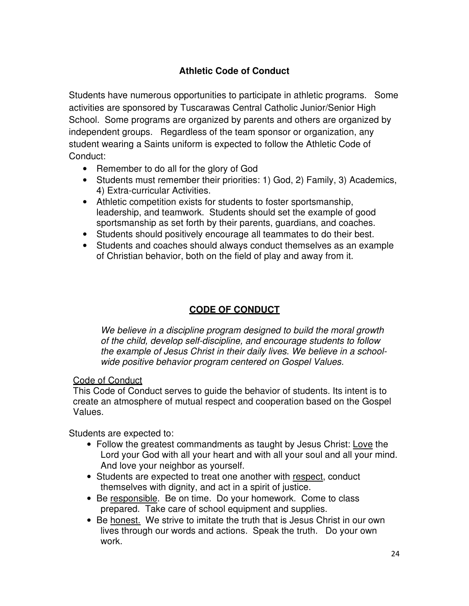# **Athletic Code of Conduct**

Students have numerous opportunities to participate in athletic programs. Some activities are sponsored by Tuscarawas Central Catholic Junior/Senior High School. Some programs are organized by parents and others are organized by independent groups. Regardless of the team sponsor or organization, any student wearing a Saints uniform is expected to follow the Athletic Code of Conduct:

- Remember to do all for the glory of God
- Students must remember their priorities: 1) God, 2) Family, 3) Academics, 4) Extra-curricular Activities.
- Athletic competition exists for students to foster sportsmanship, leadership, and teamwork. Students should set the example of good sportsmanship as set forth by their parents, guardians, and coaches.
- Students should positively encourage all teammates to do their best.
- Students and coaches should always conduct themselves as an example of Christian behavior, both on the field of play and away from it.

### **CODE OF CONDUCT**

*We believe in a discipline program designed to build the moral growth of the child, develop self-discipline, and encourage students to follow the example of Jesus Christ in their daily lives. We believe in a schoolwide positive behavior program centered on Gospel Values.* 

#### Code of Conduct

This Code of Conduct serves to guide the behavior of students. Its intent is to create an atmosphere of mutual respect and cooperation based on the Gospel Values.

Students are expected to:

- Follow the greatest commandments as taught by Jesus Christ: Love the Lord your God with all your heart and with all your soul and all your mind. And love your neighbor as yourself.
- Students are expected to treat one another with respect, conduct themselves with dignity, and act in a spirit of justice.
- Be responsible. Be on time. Do your homework. Come to class prepared. Take care of school equipment and supplies.
- Be honest. We strive to imitate the truth that is Jesus Christ in our own lives through our words and actions. Speak the truth. Do your own work.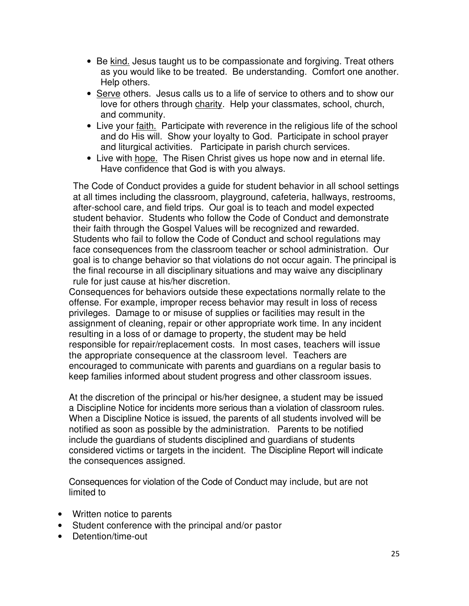- Be kind. Jesus taught us to be compassionate and forgiving. Treat others as you would like to be treated. Be understanding. Comfort one another. Help others.
- Serve others. Jesus calls us to a life of service to others and to show our love for others through charity. Help your classmates, school, church, and community.
- Live your faith. Participate with reverence in the religious life of the school and do His will. Show your loyalty to God. Participate in school prayer and liturgical activities. Participate in parish church services.
- Live with hope. The Risen Christ gives us hope now and in eternal life. Have confidence that God is with you always.

The Code of Conduct provides a guide for student behavior in all school settings at all times including the classroom, playground, cafeteria, hallways, restrooms, after-school care, and field trips. Our goal is to teach and model expected student behavior. Students who follow the Code of Conduct and demonstrate their faith through the Gospel Values will be recognized and rewarded. Students who fail to follow the Code of Conduct and school regulations may face consequences from the classroom teacher or school administration. Our goal is to change behavior so that violations do not occur again. The principal is the final recourse in all disciplinary situations and may waive any disciplinary rule for just cause at his/her discretion.

Consequences for behaviors outside these expectations normally relate to the offense. For example, improper recess behavior may result in loss of recess privileges. Damage to or misuse of supplies or facilities may result in the assignment of cleaning, repair or other appropriate work time. In any incident resulting in a loss of or damage to property, the student may be held responsible for repair/replacement costs. In most cases, teachers will issue the appropriate consequence at the classroom level. Teachers are encouraged to communicate with parents and guardians on a regular basis to keep families informed about student progress and other classroom issues.

At the discretion of the principal or his/her designee, a student may be issued a Discipline Notice for incidents more serious than a violation of classroom rules. When a Discipline Notice is issued, the parents of all students involved will be notified as soon as possible by the administration. Parents to be notified include the guardians of students disciplined and guardians of students considered victims or targets in the incident. The Discipline Report will indicate the consequences assigned.

Consequences for violation of the Code of Conduct may include, but are not limited to

- Written notice to parents
- Student conference with the principal and/or pastor
- Detention/time-out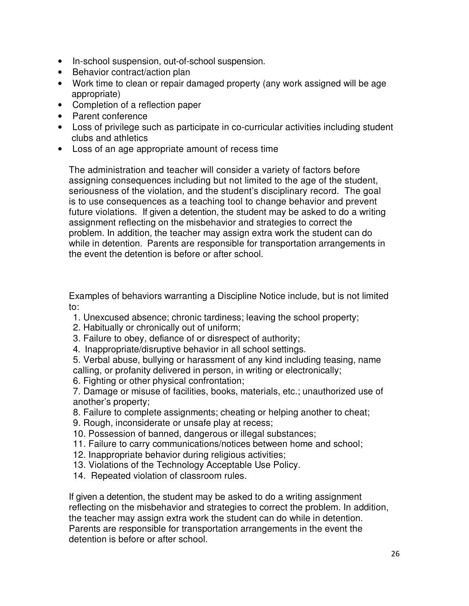- In-school suspension, out-of-school suspension.
- Behavior contract/action plan
- Work time to clean or repair damaged property (any work assigned will be age appropriate)
- Completion of a reflection paper
- Parent conference
- Loss of privilege such as participate in co-curricular activities including student clubs and athletics
- Loss of an age appropriate amount of recess time

The administration and teacher will consider a variety of factors before assigning consequences including but not limited to the age of the student, seriousness of the violation, and the student's disciplinary record. The goal is to use consequences as a teaching tool to change behavior and prevent future violations. If given a detention, the student may be asked to do a writing assignment reflecting on the misbehavior and strategies to correct the problem. In addition, the teacher may assign extra work the student can do while in detention. Parents are responsible for transportation arrangements in the event the detention is before or after school.

Examples of behaviors warranting a Discipline Notice include, but is not limited to:

- 1. Unexcused absence; chronic tardiness; leaving the school property;
- 2. Habitually or chronically out of uniform;
- 3. Failure to obey, defiance of or disrespect of authority;
- 4. Inappropriate/disruptive behavior in all school settings.

5. Verbal abuse, bullying or harassment of any kind including teasing, name calling, or profanity delivered in person, in writing or electronically;

- 6. Fighting or other physical confrontation;
- 7. Damage or misuse of facilities, books, materials, etc.; unauthorized use of another's property;
- 8. Failure to complete assignments; cheating or helping another to cheat;
- 9. Rough, inconsiderate or unsafe play at recess;
- 10. Possession of banned, dangerous or illegal substances;
- 11. Failure to carry communications/notices between home and school;
- 12. Inappropriate behavior during religious activities;
- 13. Violations of the Technology Acceptable Use Policy.
- 14. Repeated violation of classroom rules.

If given a detention, the student may be asked to do a writing assignment reflecting on the misbehavior and strategies to correct the problem. In addition, the teacher may assign extra work the student can do while in detention. Parents are responsible for transportation arrangements in the event the detention is before or after school.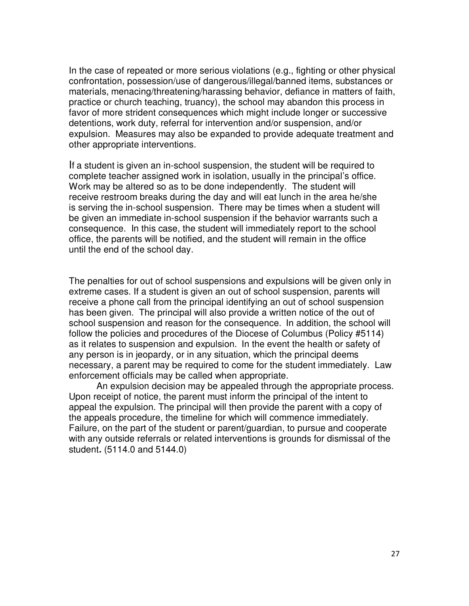In the case of repeated or more serious violations (e.g., fighting or other physical confrontation, possession/use of dangerous/illegal/banned items, substances or materials, menacing/threatening/harassing behavior, defiance in matters of faith, practice or church teaching, truancy), the school may abandon this process in favor of more strident consequences which might include longer or successive detentions, work duty, referral for intervention and/or suspension, and/or expulsion. Measures may also be expanded to provide adequate treatment and other appropriate interventions.

If a student is given an in-school suspension, the student will be required to complete teacher assigned work in isolation, usually in the principal's office. Work may be altered so as to be done independently. The student will receive restroom breaks during the day and will eat lunch in the area he/she is serving the in-school suspension. There may be times when a student will be given an immediate in-school suspension if the behavior warrants such a consequence. In this case, the student will immediately report to the school office, the parents will be notified, and the student will remain in the office until the end of the school day.

The penalties for out of school suspensions and expulsions will be given only in extreme cases. If a student is given an out of school suspension, parents will receive a phone call from the principal identifying an out of school suspension has been given. The principal will also provide a written notice of the out of school suspension and reason for the consequence. In addition, the school will follow the policies and procedures of the Diocese of Columbus (Policy #5114) as it relates to suspension and expulsion. In the event the health or safety of any person is in jeopardy, or in any situation, which the principal deems necessary, a parent may be required to come for the student immediately. Law enforcement officials may be called when appropriate.

 An expulsion decision may be appealed through the appropriate process. Upon receipt of notice, the parent must inform the principal of the intent to appeal the expulsion. The principal will then provide the parent with a copy of the appeals procedure, the timeline for which will commence immediately. Failure, on the part of the student or parent/guardian, to pursue and cooperate with any outside referrals or related interventions is grounds for dismissal of the student**.** (5114.0 and 5144.0)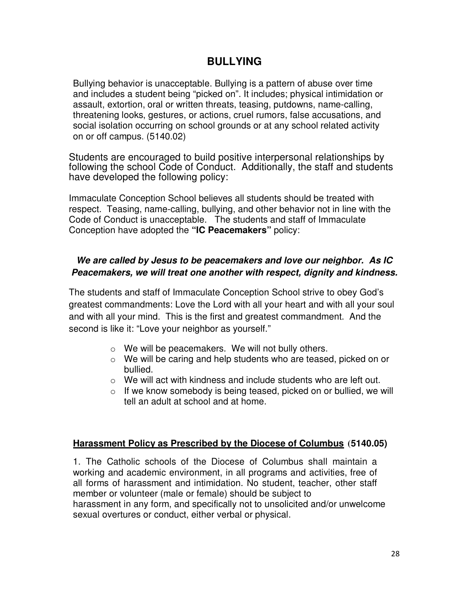# **BULLYING**

Bullying behavior is unacceptable. Bullying is a pattern of abuse over time and includes a student being "picked on". It includes; physical intimidation or assault, extortion, oral or written threats, teasing, putdowns, name-calling, threatening looks, gestures, or actions, cruel rumors, false accusations, and social isolation occurring on school grounds or at any school related activity on or off campus. (5140.02)

Students are encouraged to build positive interpersonal relationships by following the school Code of Conduct. Additionally, the staff and students have developed the following policy:

Immaculate Conception School believes all students should be treated with respect. Teasing, name-calling, bullying, and other behavior not in line with the Code of Conduct is unacceptable. The students and staff of Immaculate Conception have adopted the **"IC Peacemakers"** policy:

### **We are called by Jesus to be peacemakers and love our neighbor. As IC Peacemakers, we will treat one another with respect, dignity and kindness.**

The students and staff of Immaculate Conception School strive to obey God's greatest commandments: Love the Lord with all your heart and with all your soul and with all your mind. This is the first and greatest commandment. And the second is like it: "Love your neighbor as yourself."

- $\circ$  We will be peacemakers. We will not bully others.
- o We will be caring and help students who are teased, picked on or bullied.
- $\circ$  We will act with kindness and include students who are left out.
- $\circ$  If we know somebody is being teased, picked on or bullied, we will tell an adult at school and at home.

### **Harassment Policy as Prescribed by the Diocese of Columbus (5140.05)**

1. The Catholic schools of the Diocese of Columbus shall maintain a working and academic environment, in all programs and activities, free of all forms of harassment and intimidation. No student, teacher, other staff member or volunteer (male or female) should be subject to harassment in any form, and specifically not to unsolicited and/or unwelcome sexual overtures or conduct, either verbal or physical.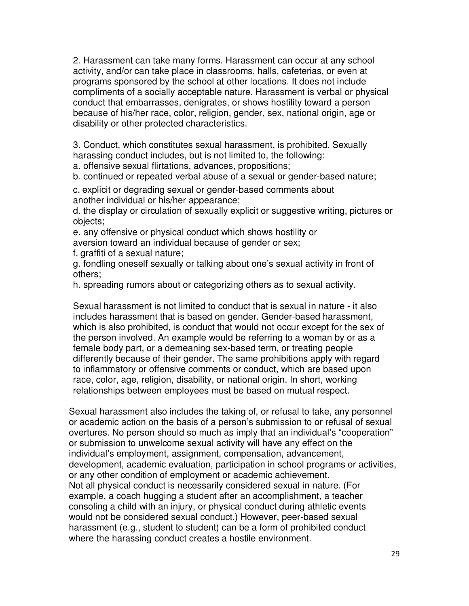2. Harassment can take many forms. Harassment can occur at any school activity, and/or can take place in classrooms, halls, cafeterias, or even at programs sponsored by the school at other locations. It does not include compliments of a socially acceptable nature. Harassment is verbal or physical conduct that embarrasses, denigrates, or shows hostility toward a person because of his/her race, color, religion, gender, sex, national origin, age or disability or other protected characteristics.

3. Conduct, which constitutes sexual harassment, is prohibited. Sexually harassing conduct includes, but is not limited to, the following:

a. offensive sexual flirtations, advances, propositions;

b. continued or repeated verbal abuse of a sexual or gender-based nature;

c. explicit or degrading sexual or gender-based comments about another individual or his/her appearance;

d. the display or circulation of sexually explicit or suggestive writing, pictures or objects;

e. any offensive or physical conduct which shows hostility or aversion toward an individual because of gender or sex;

f. graffiti of a sexual nature;

g. fondling oneself sexually or talking about one's sexual activity in front of others;

h. spreading rumors about or categorizing others as to sexual activity.

Sexual harassment is not limited to conduct that is sexual in nature - it also includes harassment that is based on gender. Gender-based harassment, which is also prohibited, is conduct that would not occur except for the sex of the person involved. An example would be referring to a woman by or as a female body part, or a demeaning sex-based term, or treating people differently because of their gender. The same prohibitions apply with regard to inflammatory or offensive comments or conduct, which are based upon race, color, age, religion, disability, or national origin. In short, working relationships between employees must be based on mutual respect.

Sexual harassment also includes the taking of, or refusal to take, any personnel or academic action on the basis of a person's submission to or refusal of sexual overtures. No person should so much as imply that an individual's "cooperation" or submission to unwelcome sexual activity will have any effect on the individual's employment, assignment, compensation, advancement, development, academic evaluation, participation in school programs or activities, or any other condition of employment or academic achievement. Not all physical conduct is necessarily considered sexual in nature. (For example, a coach hugging a student after an accomplishment, a teacher consoling a child with an injury, or physical conduct during athletic events would not be considered sexual conduct.) However, peer-based sexual harassment (e.g., student to student) can be a form of prohibited conduct where the harassing conduct creates a hostile environment.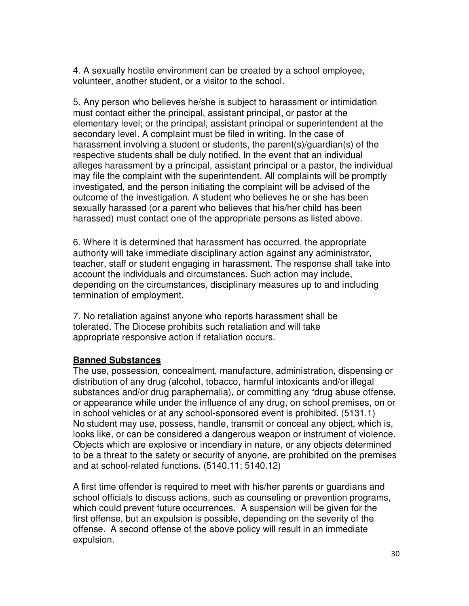4. A sexually hostile environment can be created by a school employee, volunteer, another student, or a visitor to the school.

5. Any person who believes he/she is subject to harassment or intimidation must contact either the principal, assistant principal, or pastor at the elementary level; or the principal, assistant principal or superintendent at the secondary level. A complaint must be filed in writing. In the case of harassment involving a student or students, the parent(s)/guardian(s) of the respective students shall be duly notified. In the event that an individual alleges harassment by a principal, assistant principal or a pastor, the individual may file the complaint with the superintendent. All complaints will be promptly investigated, and the person initiating the complaint will be advised of the outcome of the investigation. A student who believes he or she has been sexually harassed (or a parent who believes that his/her child has been harassed) must contact one of the appropriate persons as listed above.

6. Where it is determined that harassment has occurred, the appropriate authority will take immediate disciplinary action against any administrator, teacher, staff or student engaging in harassment. The response shall take into account the individuals and circumstances. Such action may include, depending on the circumstances, disciplinary measures up to and including termination of employment.

7. No retaliation against anyone who reports harassment shall be tolerated. The Diocese prohibits such retaliation and will take appropriate responsive action if retaliation occurs.

#### **Banned Substances**

The use, possession, concealment, manufacture, administration, dispensing or distribution of any drug (alcohol, tobacco, harmful intoxicants and/or illegal substances and/or drug paraphernalia), or committing any "drug abuse offense, or appearance while under the influence of any drug, on school premises, on or in school vehicles or at any school-sponsored event is prohibited. (5131.1) No student may use, possess, handle, transmit or conceal any object, which is, looks like, or can be considered a dangerous weapon or instrument of violence. Objects which are explosive or incendiary in nature, or any objects determined to be a threat to the safety or security of anyone, are prohibited on the premises and at school-related functions. (5140.11; 5140.12)

A first time offender is required to meet with his/her parents or guardians and school officials to discuss actions, such as counseling or prevention programs, which could prevent future occurrences. A suspension will be given for the first offense, but an expulsion is possible, depending on the severity of the offense. A second offense of the above policy will result in an immediate expulsion.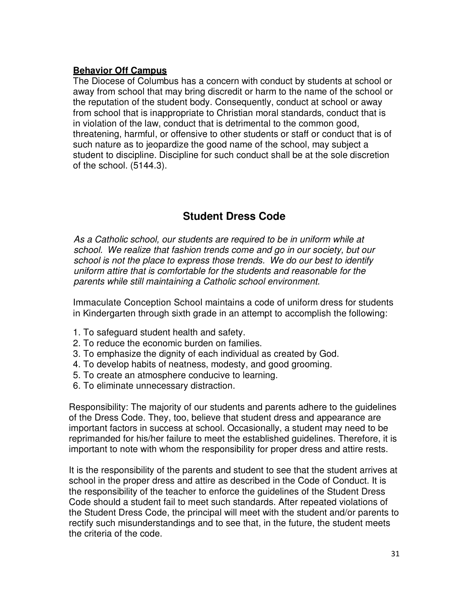#### **Behavior Off Campus**

The Diocese of Columbus has a concern with conduct by students at school or away from school that may bring discredit or harm to the name of the school or the reputation of the student body. Consequently, conduct at school or away from school that is inappropriate to Christian moral standards, conduct that is in violation of the law, conduct that is detrimental to the common good, threatening, harmful, or offensive to other students or staff or conduct that is of such nature as to jeopardize the good name of the school, may subject a student to discipline. Discipline for such conduct shall be at the sole discretion of the school. (5144.3).

# **Student Dress Code**

*As a Catholic school, our students are required to be in uniform while at school. We realize that fashion trends come and go in our society, but our school is not the place to express those trends. We do our best to identify uniform attire that is comfortable for the students and reasonable for the parents while still maintaining a Catholic school environment.*

Immaculate Conception School maintains a code of uniform dress for students in Kindergarten through sixth grade in an attempt to accomplish the following:

- 1. To safeguard student health and safety.
- 2. To reduce the economic burden on families.
- 3. To emphasize the dignity of each individual as created by God.
- 4. To develop habits of neatness, modesty, and good grooming.
- 5. To create an atmosphere conducive to learning.
- 6. To eliminate unnecessary distraction.

Responsibility: The majority of our students and parents adhere to the guidelines of the Dress Code. They, too, believe that student dress and appearance are important factors in success at school. Occasionally, a student may need to be reprimanded for his/her failure to meet the established guidelines. Therefore, it is important to note with whom the responsibility for proper dress and attire rests.

It is the responsibility of the parents and student to see that the student arrives at school in the proper dress and attire as described in the Code of Conduct. It is the responsibility of the teacher to enforce the guidelines of the Student Dress Code should a student fail to meet such standards. After repeated violations of the Student Dress Code, the principal will meet with the student and/or parents to rectify such misunderstandings and to see that, in the future, the student meets the criteria of the code.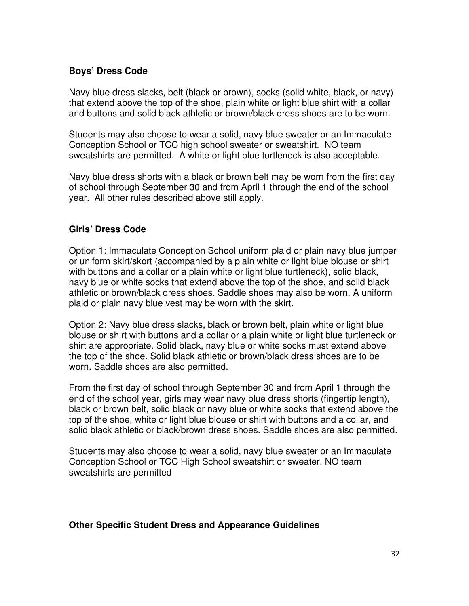#### **Boys' Dress Code**

Navy blue dress slacks, belt (black or brown), socks (solid white, black, or navy) that extend above the top of the shoe, plain white or light blue shirt with a collar and buttons and solid black athletic or brown/black dress shoes are to be worn.

Students may also choose to wear a solid, navy blue sweater or an Immaculate Conception School or TCC high school sweater or sweatshirt. NO team sweatshirts are permitted. A white or light blue turtleneck is also acceptable.

Navy blue dress shorts with a black or brown belt may be worn from the first day of school through September 30 and from April 1 through the end of the school year. All other rules described above still apply.

#### **Girls' Dress Code**

Option 1: Immaculate Conception School uniform plaid or plain navy blue jumper or uniform skirt/skort (accompanied by a plain white or light blue blouse or shirt with buttons and a collar or a plain white or light blue turtleneck), solid black, navy blue or white socks that extend above the top of the shoe, and solid black athletic or brown/black dress shoes. Saddle shoes may also be worn. A uniform plaid or plain navy blue vest may be worn with the skirt.

Option 2: Navy blue dress slacks, black or brown belt, plain white or light blue blouse or shirt with buttons and a collar or a plain white or light blue turtleneck or shirt are appropriate. Solid black, navy blue or white socks must extend above the top of the shoe. Solid black athletic or brown/black dress shoes are to be worn. Saddle shoes are also permitted.

From the first day of school through September 30 and from April 1 through the end of the school year, girls may wear navy blue dress shorts (fingertip length), black or brown belt, solid black or navy blue or white socks that extend above the top of the shoe, white or light blue blouse or shirt with buttons and a collar, and solid black athletic or black/brown dress shoes. Saddle shoes are also permitted.

Students may also choose to wear a solid, navy blue sweater or an Immaculate Conception School or TCC High School sweatshirt or sweater. NO team sweatshirts are permitted

#### **Other Specific Student Dress and Appearance Guidelines**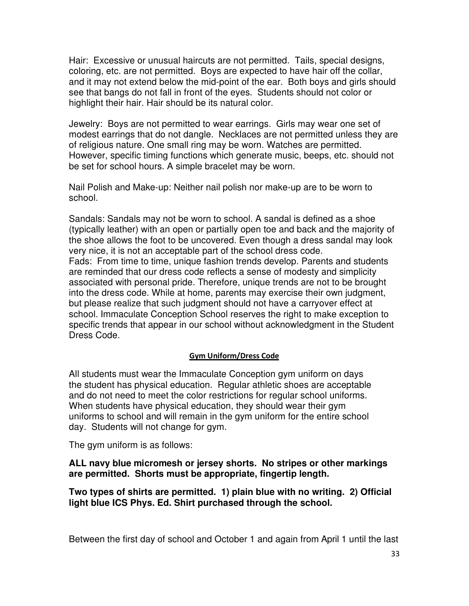Hair: Excessive or unusual haircuts are not permitted. Tails, special designs, coloring, etc. are not permitted. Boys are expected to have hair off the collar, and it may not extend below the mid-point of the ear. Both boys and girls should see that bangs do not fall in front of the eyes. Students should not color or highlight their hair. Hair should be its natural color.

Jewelry: Boys are not permitted to wear earrings. Girls may wear one set of modest earrings that do not dangle. Necklaces are not permitted unless they are of religious nature. One small ring may be worn. Watches are permitted. However, specific timing functions which generate music, beeps, etc. should not be set for school hours. A simple bracelet may be worn.

Nail Polish and Make-up: Neither nail polish nor make-up are to be worn to school.

Sandals: Sandals may not be worn to school. A sandal is defined as a shoe (typically leather) with an open or partially open toe and back and the majority of the shoe allows the foot to be uncovered. Even though a dress sandal may look very nice, it is not an acceptable part of the school dress code. Fads: From time to time, unique fashion trends develop. Parents and students are reminded that our dress code reflects a sense of modesty and simplicity associated with personal pride. Therefore, unique trends are not to be brought into the dress code. While at home, parents may exercise their own judgment, but please realize that such judgment should not have a carryover effect at school. Immaculate Conception School reserves the right to make exception to specific trends that appear in our school without acknowledgment in the Student Dress Code.

#### **Gym Uniform/Dress Code**

All students must wear the Immaculate Conception gym uniform on days the student has physical education. Regular athletic shoes are acceptable and do not need to meet the color restrictions for regular school uniforms. When students have physical education, they should wear their gym uniforms to school and will remain in the gym uniform for the entire school day. Students will not change for gym.

The gym uniform is as follows:

**ALL navy blue micromesh or jersey shorts. No stripes or other markings are permitted. Shorts must be appropriate, fingertip length.**

**Two types of shirts are permitted. 1) plain blue with no writing. 2) Official light blue ICS Phys. Ed. Shirt purchased through the school.**

Between the first day of school and October 1 and again from April 1 until the last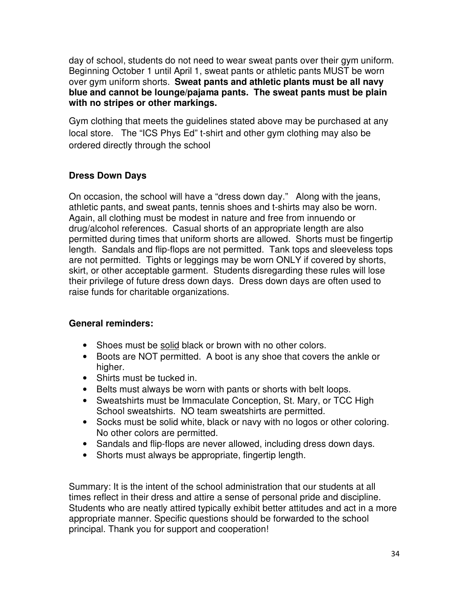day of school, students do not need to wear sweat pants over their gym uniform. Beginning October 1 until April 1, sweat pants or athletic pants MUST be worn over gym uniform shorts. **Sweat pants and athletic plants must be all navy blue and cannot be lounge/pajama pants. The sweat pants must be plain with no stripes or other markings.**

Gym clothing that meets the guidelines stated above may be purchased at any local store. The "ICS Phys Ed" t-shirt and other gym clothing may also be ordered directly through the school

# **Dress Down Days**

On occasion, the school will have a "dress down day." Along with the jeans, athletic pants, and sweat pants, tennis shoes and t-shirts may also be worn. Again, all clothing must be modest in nature and free from innuendo or drug/alcohol references. Casual shorts of an appropriate length are also permitted during times that uniform shorts are allowed. Shorts must be fingertip length. Sandals and flip-flops are not permitted. Tank tops and sleeveless tops are not permitted. Tights or leggings may be worn ONLY if covered by shorts, skirt, or other acceptable garment. Students disregarding these rules will lose their privilege of future dress down days. Dress down days are often used to raise funds for charitable organizations.

### **General reminders:**

- Shoes must be solid black or brown with no other colors.
- Boots are NOT permitted. A boot is any shoe that covers the ankle or higher.
- Shirts must be tucked in.
- Belts must always be worn with pants or shorts with belt loops.
- Sweatshirts must be Immaculate Conception, St. Mary, or TCC High School sweatshirts. NO team sweatshirts are permitted.
- Socks must be solid white, black or navy with no logos or other coloring. No other colors are permitted.
- Sandals and flip-flops are never allowed, including dress down days.
- Shorts must always be appropriate, fingertip length.

Summary: It is the intent of the school administration that our students at all times reflect in their dress and attire a sense of personal pride and discipline. Students who are neatly attired typically exhibit better attitudes and act in a more appropriate manner. Specific questions should be forwarded to the school principal. Thank you for support and cooperation!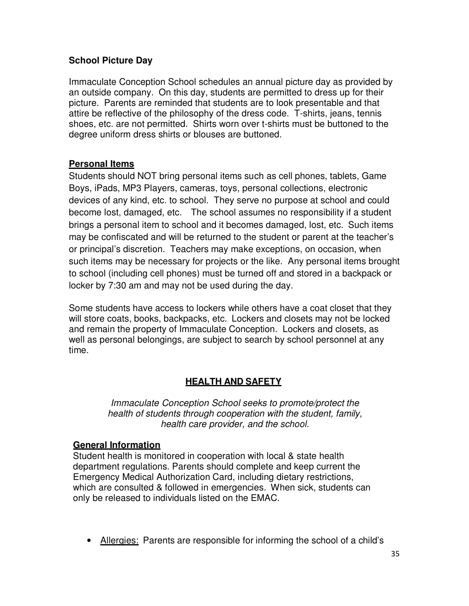### **School Picture Day**

Immaculate Conception School schedules an annual picture day as provided by an outside company. On this day, students are permitted to dress up for their picture. Parents are reminded that students are to look presentable and that attire be reflective of the philosophy of the dress code. T-shirts, jeans, tennis shoes, etc. are not permitted. Shirts worn over t-shirts must be buttoned to the degree uniform dress shirts or blouses are buttoned.

### **Personal Items**

Students should NOT bring personal items such as cell phones, tablets, Game Boys, iPads, MP3 Players, cameras, toys, personal collections, electronic devices of any kind, etc. to school. They serve no purpose at school and could become lost, damaged, etc. The school assumes no responsibility if a student brings a personal item to school and it becomes damaged, lost, etc. Such items may be confiscated and will be returned to the student or parent at the teacher's or principal's discretion. Teachers may make exceptions, on occasion, when such items may be necessary for projects or the like. Any personal items brought to school (including cell phones) must be turned off and stored in a backpack or locker by 7:30 am and may not be used during the day.

Some students have access to lockers while others have a coat closet that they will store coats, books, backpacks, etc. Lockers and closets may not be locked and remain the property of Immaculate Conception. Lockers and closets, as well as personal belongings, are subject to search by school personnel at any time.

### **HEALTH AND SAFETY**

*Immaculate Conception School seeks to promote/protect the health of students through cooperation with the student, family, health care provider, and the school.*

### **General Information**

Student health is monitored in cooperation with local & state health department regulations. Parents should complete and keep current the Emergency Medical Authorization Card, including dietary restrictions, which are consulted & followed in emergencies. When sick, students can only be released to individuals listed on the EMAC.

• Allergies: Parents are responsible for informing the school of a child's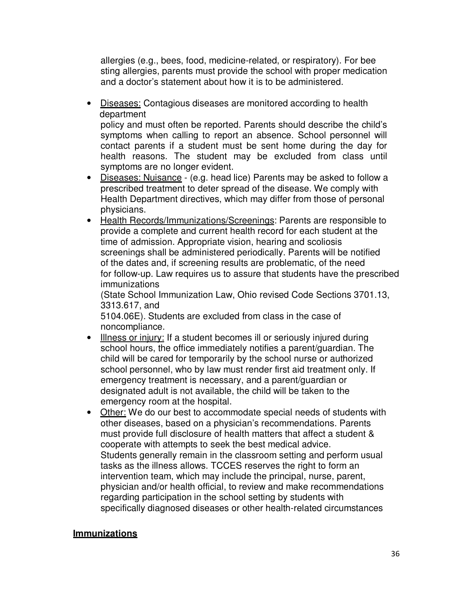allergies (e.g., bees, food, medicine-related, or respiratory). For bee sting allergies, parents must provide the school with proper medication and a doctor's statement about how it is to be administered.

• Diseases: Contagious diseases are monitored according to health department policy and must often be reported. Parents should describe the child's symptoms when calling to report an absence. School personnel will

contact parents if a student must be sent home during the day for health reasons. The student may be excluded from class until symptoms are no longer evident.

- Diseases: Nuisance (e.g. head lice) Parents may be asked to follow a prescribed treatment to deter spread of the disease. We comply with Health Department directives, which may differ from those of personal physicians.
- Health Records/Immunizations/Screenings: Parents are responsible to provide a complete and current health record for each student at the time of admission. Appropriate vision, hearing and scoliosis screenings shall be administered periodically. Parents will be notified of the dates and, if screening results are problematic, of the need for follow-up. Law requires us to assure that students have the prescribed immunizations

(State School Immunization Law, Ohio revised Code Sections 3701.13, 3313.617, and

5104.06E). Students are excluded from class in the case of noncompliance.

- Illness or injury: If a student becomes ill or seriously injured during school hours, the office immediately notifies a parent/guardian. The child will be cared for temporarily by the school nurse or authorized school personnel, who by law must render first aid treatment only. If emergency treatment is necessary, and a parent/guardian or designated adult is not available, the child will be taken to the emergency room at the hospital.
- Other: We do our best to accommodate special needs of students with other diseases, based on a physician's recommendations. Parents must provide full disclosure of health matters that affect a student & cooperate with attempts to seek the best medical advice. Students generally remain in the classroom setting and perform usual tasks as the illness allows. TCCES reserves the right to form an intervention team, which may include the principal, nurse, parent, physician and/or health official, to review and make recommendations regarding participation in the school setting by students with specifically diagnosed diseases or other health-related circumstances

### **Immunizations**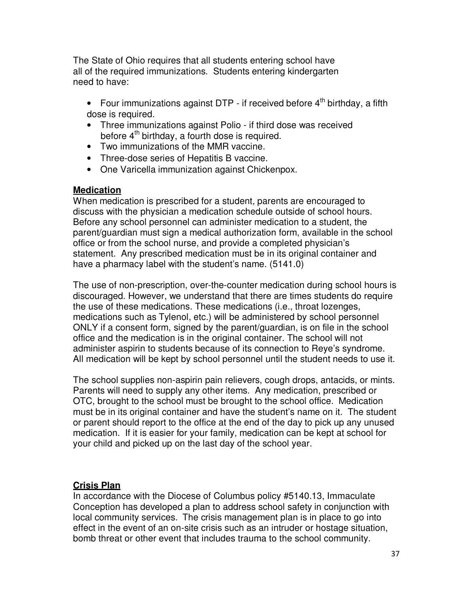The State of Ohio requires that all students entering school have all of the required immunizations. Students entering kindergarten need to have:

- Four immunizations against DTP if received before  $4<sup>th</sup>$  birthday, a fifth dose is required.
- Three immunizations against Polio if third dose was received before 4<sup>th</sup> birthday, a fourth dose is required.
- Two immunizations of the MMR vaccine.
- Three-dose series of Hepatitis B vaccine.
- One Varicella immunization against Chickenpox.

#### **Medication**

When medication is prescribed for a student, parents are encouraged to discuss with the physician a medication schedule outside of school hours. Before any school personnel can administer medication to a student, the parent/guardian must sign a medical authorization form, available in the school office or from the school nurse, and provide a completed physician's statement. Any prescribed medication must be in its original container and have a pharmacy label with the student's name. (5141.0)

The use of non-prescription, over-the-counter medication during school hours is discouraged. However, we understand that there are times students do require the use of these medications. These medications (i.e., throat lozenges, medications such as Tylenol, etc.) will be administered by school personnel ONLY if a consent form, signed by the parent/guardian, is on file in the school office and the medication is in the original container. The school will not administer aspirin to students because of its connection to Reye's syndrome. All medication will be kept by school personnel until the student needs to use it.

The school supplies non-aspirin pain relievers, cough drops, antacids, or mints. Parents will need to supply any other items. Any medication, prescribed or OTC, brought to the school must be brought to the school office. Medication must be in its original container and have the student's name on it. The student or parent should report to the office at the end of the day to pick up any unused medication. If it is easier for your family, medication can be kept at school for your child and picked up on the last day of the school year.

### **Crisis Plan**

In accordance with the Diocese of Columbus policy #5140.13, Immaculate Conception has developed a plan to address school safety in conjunction with local community services. The crisis management plan is in place to go into effect in the event of an on-site crisis such as an intruder or hostage situation, bomb threat or other event that includes trauma to the school community.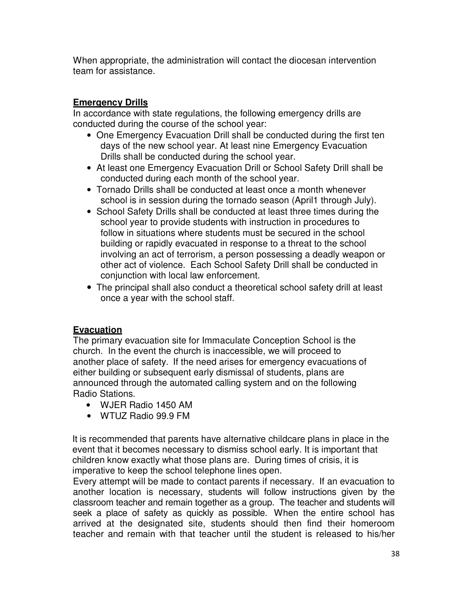When appropriate, the administration will contact the diocesan intervention team for assistance.

### **Emergency Drills**

In accordance with state regulations, the following emergency drills are conducted during the course of the school year:

- One Emergency Evacuation Drill shall be conducted during the first ten days of the new school year. At least nine Emergency Evacuation Drills shall be conducted during the school year.
- At least one Emergency Evacuation Drill or School Safety Drill shall be conducted during each month of the school year.
- Tornado Drills shall be conducted at least once a month whenever school is in session during the tornado season (April1 through July).
- School Safety Drills shall be conducted at least three times during the school year to provide students with instruction in procedures to follow in situations where students must be secured in the school building or rapidly evacuated in response to a threat to the school involving an act of terrorism, a person possessing a deadly weapon or other act of violence. Each School Safety Drill shall be conducted in conjunction with local law enforcement.
- The principal shall also conduct a theoretical school safety drill at least once a year with the school staff.

### **Evacuation**

The primary evacuation site for Immaculate Conception School is the church. In the event the church is inaccessible, we will proceed to another place of safety. If the need arises for emergency evacuations of either building or subsequent early dismissal of students, plans are announced through the automated calling system and on the following Radio Stations.

- WJER Radio 1450 AM
- WTUZ Radio 99.9 FM

It is recommended that parents have alternative childcare plans in place in the event that it becomes necessary to dismiss school early. It is important that children know exactly what those plans are. During times of crisis, it is imperative to keep the school telephone lines open.

Every attempt will be made to contact parents if necessary. If an evacuation to another location is necessary, students will follow instructions given by the classroom teacher and remain together as a group. The teacher and students will seek a place of safety as quickly as possible. When the entire school has arrived at the designated site, students should then find their homeroom teacher and remain with that teacher until the student is released to his/her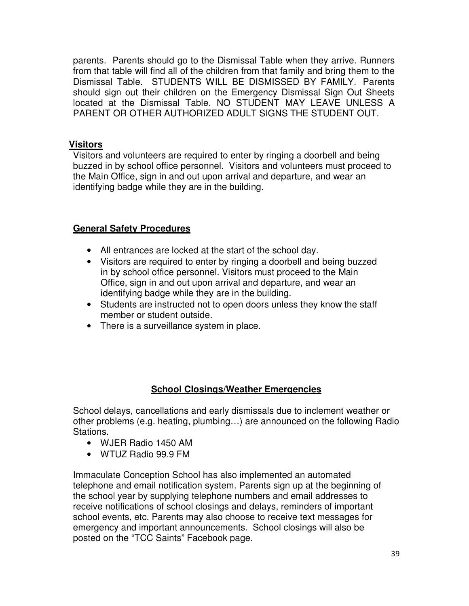parents. Parents should go to the Dismissal Table when they arrive. Runners from that table will find all of the children from that family and bring them to the Dismissal Table. STUDENTS WILL BE DISMISSED BY FAMILY. Parents should sign out their children on the Emergency Dismissal Sign Out Sheets located at the Dismissal Table. NO STUDENT MAY LEAVE UNLESS A PARENT OR OTHER AUTHORIZED ADULT SIGNS THE STUDENT OUT.

### **Visitors**

Visitors and volunteers are required to enter by ringing a doorbell and being buzzed in by school office personnel. Visitors and volunteers must proceed to the Main Office, sign in and out upon arrival and departure, and wear an identifying badge while they are in the building.

### **General Safety Procedures**

- All entrances are locked at the start of the school day.
- Visitors are required to enter by ringing a doorbell and being buzzed in by school office personnel. Visitors must proceed to the Main Office, sign in and out upon arrival and departure, and wear an identifying badge while they are in the building.
- Students are instructed not to open doors unless they know the staff member or student outside.
- There is a surveillance system in place.

### **School Closings/Weather Emergencies**

School delays, cancellations and early dismissals due to inclement weather or other problems (e.g. heating, plumbing…) are announced on the following Radio Stations.

- WJER Radio 1450 AM
- WTUZ Radio 99.9 FM

Immaculate Conception School has also implemented an automated telephone and email notification system. Parents sign up at the beginning of the school year by supplying telephone numbers and email addresses to receive notifications of school closings and delays, reminders of important school events, etc. Parents may also choose to receive text messages for emergency and important announcements. School closings will also be posted on the "TCC Saints" Facebook page.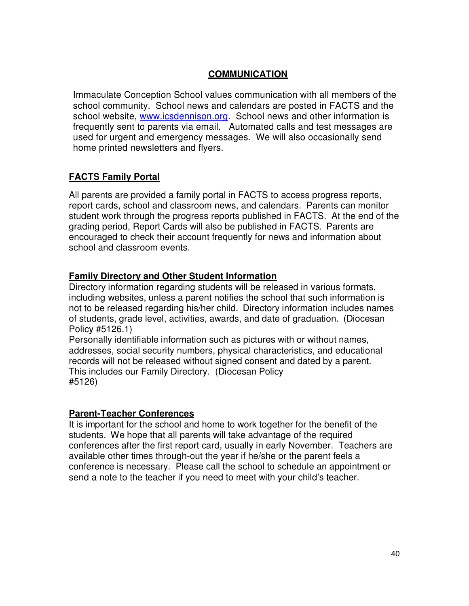### **COMMUNICATION**

Immaculate Conception School values communication with all members of the school community. School news and calendars are posted in FACTS and the school website, www.icsdennison.org. School news and other information is frequently sent to parents via email. Automated calls and test messages are used for urgent and emergency messages. We will also occasionally send home printed newsletters and flyers.

### **FACTS Family Portal**

All parents are provided a family portal in FACTS to access progress reports, report cards, school and classroom news, and calendars. Parents can monitor student work through the progress reports published in FACTS. At the end of the grading period, Report Cards will also be published in FACTS. Parents are encouraged to check their account frequently for news and information about school and classroom events.

### **Family Directory and Other Student Information**

Directory information regarding students will be released in various formats, including websites, unless a parent notifies the school that such information is not to be released regarding his/her child. Directory information includes names of students, grade level, activities, awards, and date of graduation. (Diocesan Policy #5126.1)

Personally identifiable information such as pictures with or without names, addresses, social security numbers, physical characteristics, and educational records will not be released without signed consent and dated by a parent. This includes our Family Directory. (Diocesan Policy #5126)

#### **Parent-Teacher Conferences**

It is important for the school and home to work together for the benefit of the students. We hope that all parents will take advantage of the required conferences after the first report card, usually in early November. Teachers are available other times through-out the year if he/she or the parent feels a conference is necessary. Please call the school to schedule an appointment or send a note to the teacher if you need to meet with your child's teacher.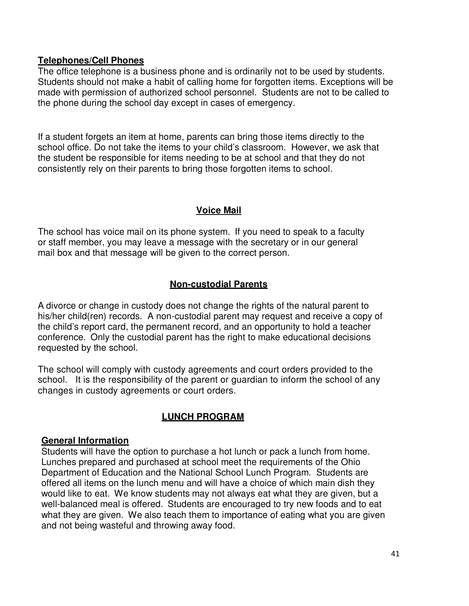#### **Telephones/Cell Phones**

The office telephone is a business phone and is ordinarily not to be used by students. Students should not make a habit of calling home for forgotten items. Exceptions will be made with permission of authorized school personnel. Students are not to be called to the phone during the school day except in cases of emergency.

If a student forgets an item at home, parents can bring those items directly to the school office. Do not take the items to your child's classroom. However, we ask that the student be responsible for items needing to be at school and that they do not consistently rely on their parents to bring those forgotten items to school.

### **Voice Mail**

The school has voice mail on its phone system. If you need to speak to a faculty or staff member, you may leave a message with the secretary or in our general mail box and that message will be given to the correct person.

### **Non-custodial Parents**

A divorce or change in custody does not change the rights of the natural parent to his/her child(ren) records. A non-custodial parent may request and receive a copy of the child's report card, the permanent record, and an opportunity to hold a teacher conference. Only the custodial parent has the right to make educational decisions requested by the school.

The school will comply with custody agreements and court orders provided to the school. It is the responsibility of the parent or guardian to inform the school of any changes in custody agreements or court orders.

### **LUNCH PROGRAM**

#### **General Information**

Students will have the option to purchase a hot lunch or pack a lunch from home. Lunches prepared and purchased at school meet the requirements of the Ohio Department of Education and the National School Lunch Program. Students are offered all items on the lunch menu and will have a choice of which main dish they would like to eat. We know students may not always eat what they are given, but a well-balanced meal is offered. Students are encouraged to try new foods and to eat what they are given. We also teach them to importance of eating what you are given and not being wasteful and throwing away food.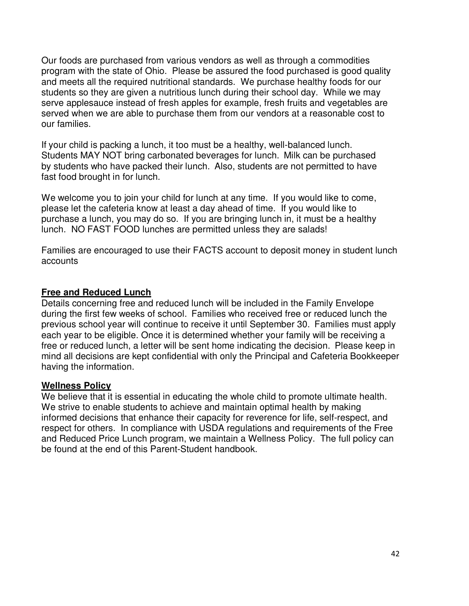Our foods are purchased from various vendors as well as through a commodities program with the state of Ohio. Please be assured the food purchased is good quality and meets all the required nutritional standards. We purchase healthy foods for our students so they are given a nutritious lunch during their school day. While we may serve applesauce instead of fresh apples for example, fresh fruits and vegetables are served when we are able to purchase them from our vendors at a reasonable cost to our families.

If your child is packing a lunch, it too must be a healthy, well-balanced lunch. Students MAY NOT bring carbonated beverages for lunch. Milk can be purchased by students who have packed their lunch. Also, students are not permitted to have fast food brought in for lunch.

We welcome you to join your child for lunch at any time. If you would like to come, please let the cafeteria know at least a day ahead of time. If you would like to purchase a lunch, you may do so. If you are bringing lunch in, it must be a healthy lunch. NO FAST FOOD lunches are permitted unless they are salads!

Families are encouraged to use their FACTS account to deposit money in student lunch accounts

### **Free and Reduced Lunch**

Details concerning free and reduced lunch will be included in the Family Envelope during the first few weeks of school. Families who received free or reduced lunch the previous school year will continue to receive it until September 30. Families must apply each year to be eligible. Once it is determined whether your family will be receiving a free or reduced lunch, a letter will be sent home indicating the decision. Please keep in mind all decisions are kept confidential with only the Principal and Cafeteria Bookkeeper having the information.

#### **Wellness Policy**

We believe that it is essential in educating the whole child to promote ultimate health. We strive to enable students to achieve and maintain optimal health by making informed decisions that enhance their capacity for reverence for life, self-respect, and respect for others. In compliance with USDA regulations and requirements of the Free and Reduced Price Lunch program, we maintain a Wellness Policy. The full policy can be found at the end of this Parent-Student handbook.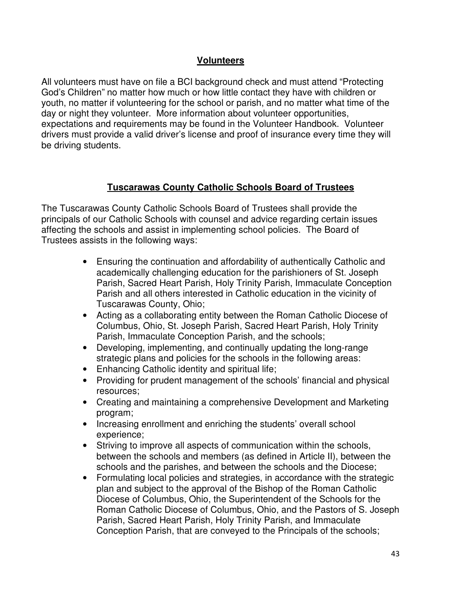### **Volunteers**

All volunteers must have on file a BCI background check and must attend "Protecting God's Children" no matter how much or how little contact they have with children or youth, no matter if volunteering for the school or parish, and no matter what time of the day or night they volunteer. More information about volunteer opportunities, expectations and requirements may be found in the Volunteer Handbook. Volunteer drivers must provide a valid driver's license and proof of insurance every time they will be driving students.

### **Tuscarawas County Catholic Schools Board of Trustees**

The Tuscarawas County Catholic Schools Board of Trustees shall provide the principals of our Catholic Schools with counsel and advice regarding certain issues affecting the schools and assist in implementing school policies. The Board of Trustees assists in the following ways:

- Ensuring the continuation and affordability of authentically Catholic and academically challenging education for the parishioners of St. Joseph Parish, Sacred Heart Parish, Holy Trinity Parish, Immaculate Conception Parish and all others interested in Catholic education in the vicinity of Tuscarawas County, Ohio;
- Acting as a collaborating entity between the Roman Catholic Diocese of Columbus, Ohio, St. Joseph Parish, Sacred Heart Parish, Holy Trinity Parish, Immaculate Conception Parish, and the schools;
- Developing, implementing, and continually updating the long-range strategic plans and policies for the schools in the following areas:
- Enhancing Catholic identity and spiritual life;
- Providing for prudent management of the schools' financial and physical resources;
- Creating and maintaining a comprehensive Development and Marketing program;
- Increasing enrollment and enriching the students' overall school experience;
- Striving to improve all aspects of communication within the schools, between the schools and members (as defined in Article II), between the schools and the parishes, and between the schools and the Diocese;
- Formulating local policies and strategies, in accordance with the strategic plan and subject to the approval of the Bishop of the Roman Catholic Diocese of Columbus, Ohio, the Superintendent of the Schools for the Roman Catholic Diocese of Columbus, Ohio, and the Pastors of S. Joseph Parish, Sacred Heart Parish, Holy Trinity Parish, and Immaculate Conception Parish, that are conveyed to the Principals of the schools;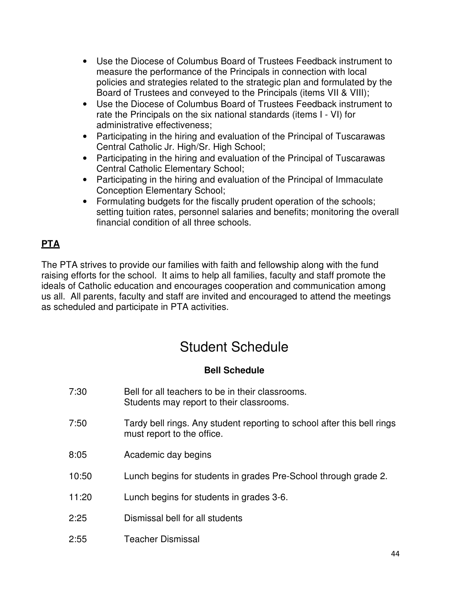- Use the Diocese of Columbus Board of Trustees Feedback instrument to measure the performance of the Principals in connection with local policies and strategies related to the strategic plan and formulated by the Board of Trustees and conveyed to the Principals (items VII & VIII);
- Use the Diocese of Columbus Board of Trustees Feedback instrument to rate the Principals on the six national standards (items I - VI) for administrative effectiveness;
- Participating in the hiring and evaluation of the Principal of Tuscarawas Central Catholic Jr. High/Sr. High School;
- Participating in the hiring and evaluation of the Principal of Tuscarawas Central Catholic Elementary School;
- Participating in the hiring and evaluation of the Principal of Immaculate Conception Elementary School;
- Formulating budgets for the fiscally prudent operation of the schools; setting tuition rates, personnel salaries and benefits; monitoring the overall financial condition of all three schools.

# **PTA**

The PTA strives to provide our families with faith and fellowship along with the fund raising efforts for the school. It aims to help all families, faculty and staff promote the ideals of Catholic education and encourages cooperation and communication among us all. All parents, faculty and staff are invited and encouraged to attend the meetings as scheduled and participate in PTA activities.

# Student Schedule

### **Bell Schedule**

| 7:30  | Bell for all teachers to be in their classrooms.<br>Students may report to their classrooms.          |
|-------|-------------------------------------------------------------------------------------------------------|
| 7:50  | Tardy bell rings. Any student reporting to school after this bell rings<br>must report to the office. |
| 8:05  | Academic day begins                                                                                   |
| 10:50 | Lunch begins for students in grades Pre-School through grade 2.                                       |
| 11:20 | Lunch begins for students in grades 3-6.                                                              |
| 2:25  | Dismissal bell for all students                                                                       |
| 2:55  | Teacher Dismissal                                                                                     |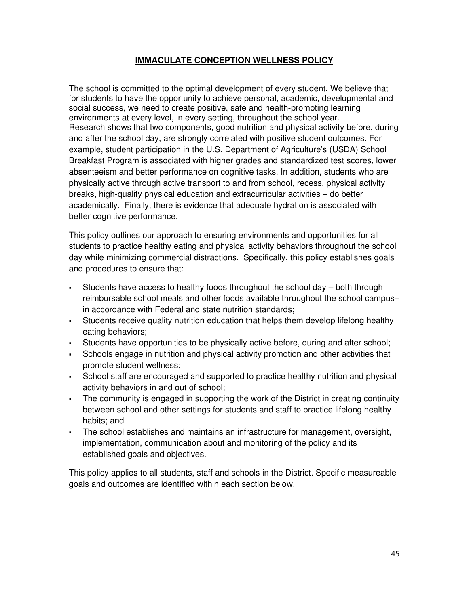#### **IMMACULATE CONCEPTION WELLNESS POLICY**

The school is committed to the optimal development of every student. We believe that for students to have the opportunity to achieve personal, academic, developmental and social success, we need to create positive, safe and health-promoting learning environments at every level, in every setting, throughout the school year. Research shows that two components, good nutrition and physical activity before, during and after the school day, are strongly correlated with positive student outcomes. For example, student participation in the U.S. Department of Agriculture's (USDA) School Breakfast Program is associated with higher grades and standardized test scores, lower absenteeism and better performance on cognitive tasks. In addition, students who are physically active through active transport to and from school, recess, physical activity breaks, high-quality physical education and extracurricular activities – do better academically. Finally, there is evidence that adequate hydration is associated with better cognitive performance.

This policy outlines our approach to ensuring environments and opportunities for all students to practice healthy eating and physical activity behaviors throughout the school day while minimizing commercial distractions. Specifically, this policy establishes goals and procedures to ensure that:

- Students have access to healthy foods throughout the school day ‒ both through reimbursable school meals and other foods available throughout the school campus– in accordance with Federal and state nutrition standards;
- Students receive quality nutrition education that helps them develop lifelong healthy eating behaviors;
- Students have opportunities to be physically active before, during and after school;
- Schools engage in nutrition and physical activity promotion and other activities that promote student wellness;
- School staff are encouraged and supported to practice healthy nutrition and physical activity behaviors in and out of school;
- The community is engaged in supporting the work of the District in creating continuity between school and other settings for students and staff to practice lifelong healthy habits; and
- The school establishes and maintains an infrastructure for management, oversight, implementation, communication about and monitoring of the policy and its established goals and objectives.

This policy applies to all students, staff and schools in the District. Specific measureable goals and outcomes are identified within each section below.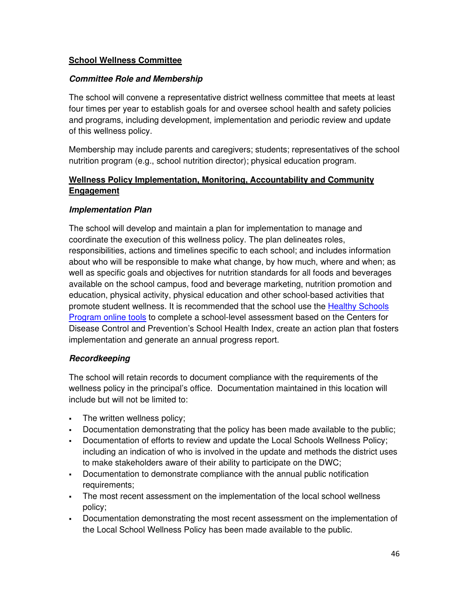#### **School Wellness Committee**

#### **Committee Role and Membership**

The school will convene a representative district wellness committee that meets at least four times per year to establish goals for and oversee school health and safety policies and programs, including development, implementation and periodic review and update of this wellness policy.

Membership may include parents and caregivers; students; representatives of the school nutrition program (e.g., school nutrition director); physical education program.

### **Wellness Policy Implementation, Monitoring, Accountability and Community Engagement**

#### **Implementation Plan**

The school will develop and maintain a plan for implementation to manage and coordinate the execution of this wellness policy. The plan delineates roles, responsibilities, actions and timelines specific to each school; and includes information about who will be responsible to make what change, by how much, where and when; as well as specific goals and objectives for nutrition standards for all foods and beverages available on the school campus, food and beverage marketing, nutrition promotion and education, physical activity, physical education and other school-based activities that promote student wellness. It is recommended that the school use the Healthy Schools Program online tools to complete a school-level assessment based on the Centers for Disease Control and Prevention's School Health Index, create an action plan that fosters implementation and generate an annual progress report.

#### **Recordkeeping**

The school will retain records to document compliance with the requirements of the wellness policy in the principal's office. Documentation maintained in this location will include but will not be limited to:

- . The written wellness policy;
- Documentation demonstrating that the policy has been made available to the public;
- Documentation of efforts to review and update the Local Schools Wellness Policy; including an indication of who is involved in the update and methods the district uses to make stakeholders aware of their ability to participate on the DWC;
- Documentation to demonstrate compliance with the annual public notification requirements;
- The most recent assessment on the implementation of the local school wellness policy;
- Documentation demonstrating the most recent assessment on the implementation of the Local School Wellness Policy has been made available to the public.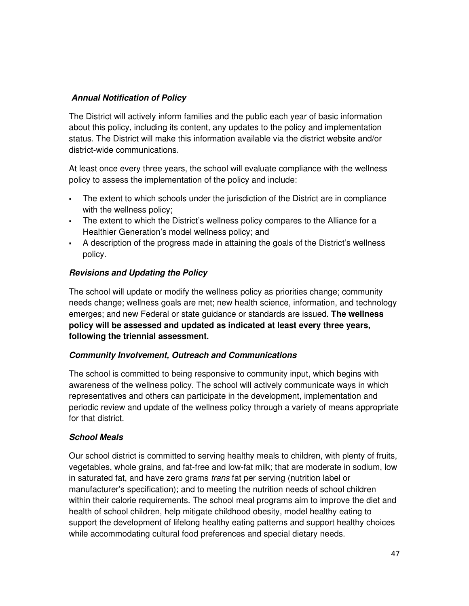#### **Annual Notification of Policy**

The District will actively inform families and the public each year of basic information about this policy, including its content, any updates to the policy and implementation status. The District will make this information available via the district website and/or district-wide communications.

At least once every three years, the school will evaluate compliance with the wellness policy to assess the implementation of the policy and include:

- The extent to which schools under the jurisdiction of the District are in compliance with the wellness policy;
- The extent to which the District's wellness policy compares to the Alliance for a Healthier Generation's model wellness policy; and
- A description of the progress made in attaining the goals of the District's wellness policy.

### **Revisions and Updating the Policy**

The school will update or modify the wellness policy as priorities change; community needs change; wellness goals are met; new health science, information, and technology emerges; and new Federal or state guidance or standards are issued. **The wellness policy will be assessed and updated as indicated at least every three years, following the triennial assessment.**

#### **Community Involvement, Outreach and Communications**

The school is committed to being responsive to community input, which begins with awareness of the wellness policy. The school will actively communicate ways in which representatives and others can participate in the development, implementation and periodic review and update of the wellness policy through a variety of means appropriate for that district.

#### **School Meals**

Our school district is committed to serving healthy meals to children, with plenty of fruits, vegetables, whole grains, and fat-free and low-fat milk; that are moderate in sodium, low in saturated fat, and have zero grams *trans* fat per serving (nutrition label or manufacturer's specification); and to meeting the nutrition needs of school children within their calorie requirements. The school meal programs aim to improve the diet and health of school children, help mitigate childhood obesity, model healthy eating to support the development of lifelong healthy eating patterns and support healthy choices while accommodating cultural food preferences and special dietary needs.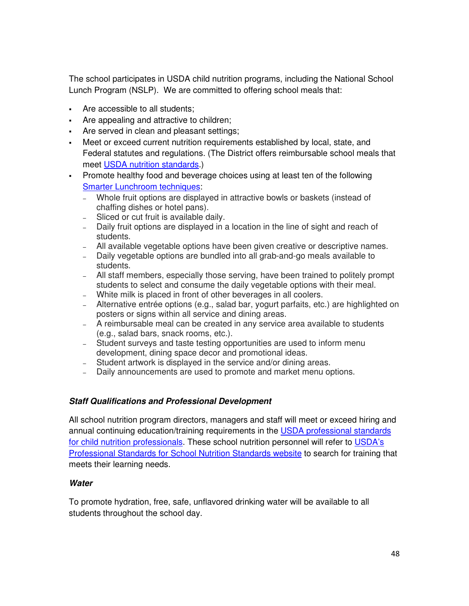The school participates in USDA child nutrition programs, including the National School Lunch Program (NSLP). We are committed to offering school meals that:

- Are accessible to all students;
- Are appealing and attractive to children;
- Are served in clean and pleasant settings;
- Meet or exceed current nutrition requirements established by local, state, and Federal statutes and regulations. (The District offers reimbursable school meals that meet USDA nutrition standards.)
- Promote healthy food and beverage choices using at least ten of the following Smarter Lunchroom techniques:
	- − Whole fruit options are displayed in attractive bowls or baskets (instead of chaffing dishes or hotel pans).
	- − Sliced or cut fruit is available daily.
	- − Daily fruit options are displayed in a location in the line of sight and reach of students.
	- − All available vegetable options have been given creative or descriptive names.
	- − Daily vegetable options are bundled into all grab-and-go meals available to students.
	- − All staff members, especially those serving, have been trained to politely prompt students to select and consume the daily vegetable options with their meal.
	- − White milk is placed in front of other beverages in all coolers.
	- − Alternative entrée options (e.g., salad bar, yogurt parfaits, etc.) are highlighted on posters or signs within all service and dining areas.
	- − A reimbursable meal can be created in any service area available to students (e.g., salad bars, snack rooms, etc.).
	- − Student surveys and taste testing opportunities are used to inform menu development, dining space decor and promotional ideas.
	- − Student artwork is displayed in the service and/or dining areas.
	- − Daily announcements are used to promote and market menu options.

#### **Staff Qualifications and Professional Development**

All school nutrition program directors, managers and staff will meet or exceed hiring and annual continuing education/training requirements in the USDA professional standards for child nutrition professionals. These school nutrition personnel will refer to USDA's Professional Standards for School Nutrition Standards website to search for training that meets their learning needs.

#### **Water**

To promote hydration, free, safe, unflavored drinking water will be available to all students throughout the school day.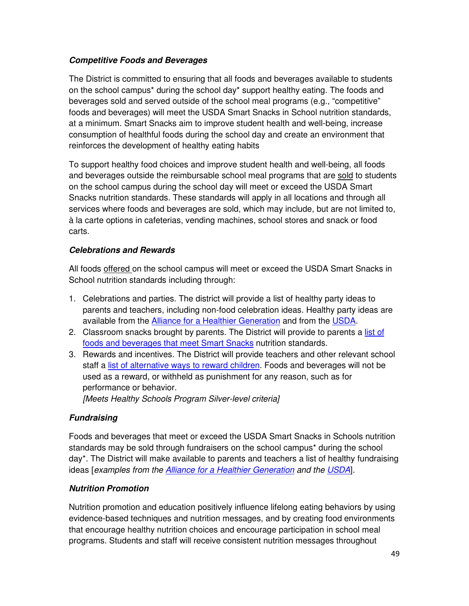#### **Competitive Foods and Beverages**

The District is committed to ensuring that all foods and beverages available to students on the school campus\* during the school day\* support healthy eating. The foods and beverages sold and served outside of the school meal programs (e.g., "competitive" foods and beverages) will meet the USDA Smart Snacks in School nutrition standards, at a minimum. Smart Snacks aim to improve student health and well-being, increase consumption of healthful foods during the school day and create an environment that reinforces the development of healthy eating habits

To support healthy food choices and improve student health and well-being, all foods and beverages outside the reimbursable school meal programs that are sold to students on the school campus during the school day will meet or exceed the USDA Smart Snacks nutrition standards. These standards will apply in all locations and through all services where foods and beverages are sold, which may include, but are not limited to, à la carte options in cafeterias, vending machines, school stores and snack or food carts.

### **Celebrations and Rewards**

All foods offered on the school campus will meet or exceed the USDA Smart Snacks in School nutrition standards including through:

- 1. Celebrations and parties. The district will provide a list of healthy party ideas to parents and teachers, including non-food celebration ideas. Healthy party ideas are available from the Alliance for a Healthier Generation and from the USDA.
- 2. Classroom snacks brought by parents. The District will provide to parents a list of foods and beverages that meet Smart Snacks nutrition standards.
- 3. Rewards and incentives. The District will provide teachers and other relevant school staff a list of alternative ways to reward children. Foods and beverages will not be used as a reward, or withheld as punishment for any reason, such as for performance or behavior. *[Meets Healthy Schools Program Silver-level criteria]*

### **Fundraising**

Foods and beverages that meet or exceed the USDA Smart Snacks in Schools nutrition standards may be sold through fundraisers on the school campus\* during the school day\*. The District will make available to parents and teachers a list of healthy fundraising ideas [*examples from the Alliance for a Healthier Generation and the USDA*].

#### **Nutrition Promotion**

Nutrition promotion and education positively influence lifelong eating behaviors by using evidence-based techniques and nutrition messages, and by creating food environments that encourage healthy nutrition choices and encourage participation in school meal programs. Students and staff will receive consistent nutrition messages throughout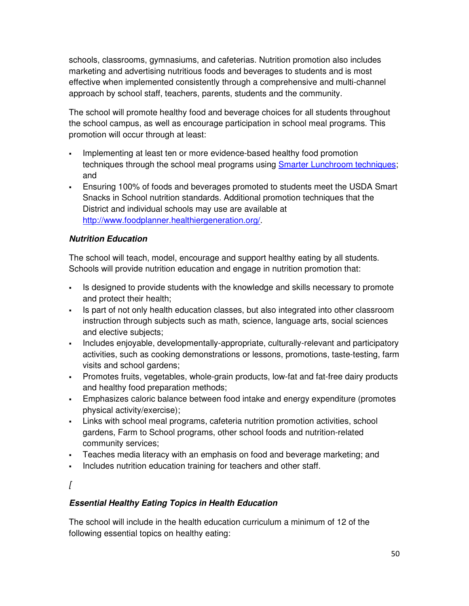schools, classrooms, gymnasiums, and cafeterias. Nutrition promotion also includes marketing and advertising nutritious foods and beverages to students and is most effective when implemented consistently through a comprehensive and multi-channel approach by school staff, teachers, parents, students and the community.

The school will promote healthy food and beverage choices for all students throughout the school campus, as well as encourage participation in school meal programs. This promotion will occur through at least:

- Implementing at least ten or more evidence-based healthy food promotion techniques through the school meal programs using Smarter Lunchroom techniques; and
- Ensuring 100% of foods and beverages promoted to students meet the USDA Smart Snacks in School nutrition standards. Additional promotion techniques that the District and individual schools may use are available at http://www.foodplanner.healthiergeneration.org/.

### **Nutrition Education**

The school will teach, model, encourage and support healthy eating by all students. Schools will provide nutrition education and engage in nutrition promotion that:

- Is designed to provide students with the knowledge and skills necessary to promote and protect their health;
- Is part of not only health education classes, but also integrated into other classroom instruction through subjects such as math, science, language arts, social sciences and elective subjects;
- Includes enjoyable, developmentally-appropriate, culturally-relevant and participatory activities, such as cooking demonstrations or lessons, promotions, taste-testing, farm visits and school gardens;
- Promotes fruits, vegetables, whole-grain products, low-fat and fat-free dairy products and healthy food preparation methods;
- Emphasizes caloric balance between food intake and energy expenditure (promotes physical activity/exercise);
- Links with school meal programs, cafeteria nutrition promotion activities, school gardens, Farm to School programs, other school foods and nutrition-related community services;
- Teaches media literacy with an emphasis on food and beverage marketing; and
- Includes nutrition education training for teachers and other staff.
- *[*

### **Essential Healthy Eating Topics in Health Education**

The school will include in the health education curriculum a minimum of 12 of the following essential topics on healthy eating: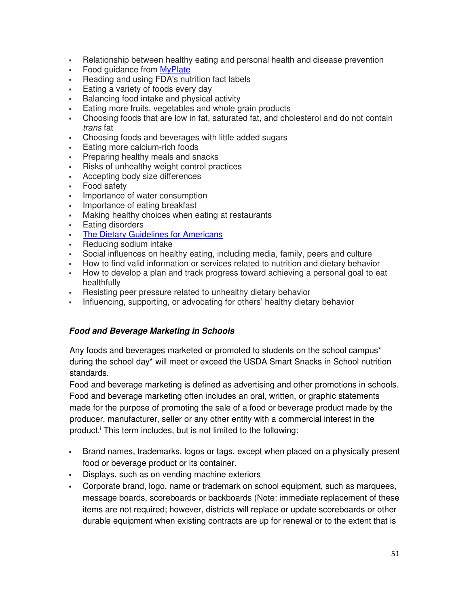- Relationship between healthy eating and personal health and disease prevention
- Food guidance from MyPlate
- Reading and using FDA's nutrition fact labels
- **Eating a variety of foods every day**
- Balancing food intake and physical activity
- Eating more fruits, vegetables and whole grain products
- Choosing foods that are low in fat, saturated fat, and cholesterol and do not contain *trans* fat
- Choosing foods and beverages with little added sugars
- **Eating more calcium-rich foods**
- **Preparing healthy meals and snacks**
- Risks of unhealthy weight control practices
- Accepting body size differences
- Food safety
- Importance of water consumption
- Importance of eating breakfast
- Making healthy choices when eating at restaurants
- **Eating disorders**
- The Dietary Guidelines for Americans
- **Reducing sodium intake**
- Social influences on healthy eating, including media, family, peers and culture
- How to find valid information or services related to nutrition and dietary behavior
- How to develop a plan and track progress toward achieving a personal goal to eat healthfully
- Resisting peer pressure related to unhealthy dietary behavior
- Influencing, supporting, or advocating for others' healthy dietary behavior

#### **Food and Beverage Marketing in Schools**

Any foods and beverages marketed or promoted to students on the school campus\* during the school day\* will meet or exceed the USDA Smart Snacks in School nutrition standards.

Food and beverage marketing is defined as advertising and other promotions in schools. Food and beverage marketing often includes an oral, written, or graphic statements made for the purpose of promoting the sale of a food or beverage product made by the producer, manufacturer, seller or any other entity with a commercial interest in the product.<sup>i</sup> This term includes, but is not limited to the following:

- Brand names, trademarks, logos or tags, except when placed on a physically present food or beverage product or its container.
- Displays, such as on vending machine exteriors
- Corporate brand, logo, name or trademark on school equipment, such as marquees, message boards, scoreboards or backboards (Note: immediate replacement of these items are not required; however, districts will replace or update scoreboards or other durable equipment when existing contracts are up for renewal or to the extent that is